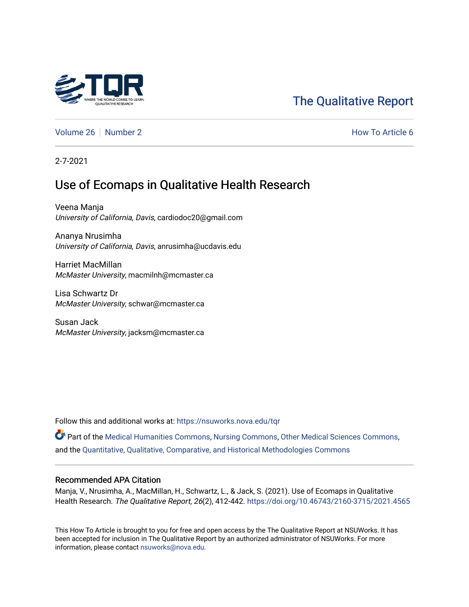

# [The Qualitative Report](https://nsuworks.nova.edu/tqr)

[Volume 26](https://nsuworks.nova.edu/tqr/vol26) [Number 2](https://nsuworks.nova.edu/tqr/vol26/iss2) **How To Article 6** Number 2 **How To Article 6** 

2-7-2021

# Use of Ecomaps in Qualitative Health Research

Veena Manja University of California, Davis, cardiodoc20@gmail.com

Ananya Nrusimha University of California, Davis, anrusimha@ucdavis.edu

Harriet MacMillan McMaster University, macmilnh@mcmaster.ca

Lisa Schwartz Dr McMaster University, schwar@mcmaster.ca

Susan Jack McMaster University, jacksm@mcmaster.ca

Follow this and additional works at: [https://nsuworks.nova.edu/tqr](https://nsuworks.nova.edu/tqr?utm_source=nsuworks.nova.edu%2Ftqr%2Fvol26%2Fiss2%2F6&utm_medium=PDF&utm_campaign=PDFCoverPages) 

Part of the [Medical Humanities Commons](http://network.bepress.com/hgg/discipline/1303?utm_source=nsuworks.nova.edu%2Ftqr%2Fvol26%2Fiss2%2F6&utm_medium=PDF&utm_campaign=PDFCoverPages), [Nursing Commons](http://network.bepress.com/hgg/discipline/718?utm_source=nsuworks.nova.edu%2Ftqr%2Fvol26%2Fiss2%2F6&utm_medium=PDF&utm_campaign=PDFCoverPages), [Other Medical Sciences Commons,](http://network.bepress.com/hgg/discipline/679?utm_source=nsuworks.nova.edu%2Ftqr%2Fvol26%2Fiss2%2F6&utm_medium=PDF&utm_campaign=PDFCoverPages) and the [Quantitative, Qualitative, Comparative, and Historical Methodologies Commons](http://network.bepress.com/hgg/discipline/423?utm_source=nsuworks.nova.edu%2Ftqr%2Fvol26%2Fiss2%2F6&utm_medium=PDF&utm_campaign=PDFCoverPages)

#### Recommended APA Citation

Manja, V., Nrusimha, A., MacMillan, H., Schwartz, L., & Jack, S. (2021). Use of Ecomaps in Qualitative Health Research. The Qualitative Report, 26(2), 412-442. <https://doi.org/10.46743/2160-3715/2021.4565>

This How To Article is brought to you for free and open access by the The Qualitative Report at NSUWorks. It has been accepted for inclusion in The Qualitative Report by an authorized administrator of NSUWorks. For more information, please contact [nsuworks@nova.edu.](mailto:nsuworks@nova.edu)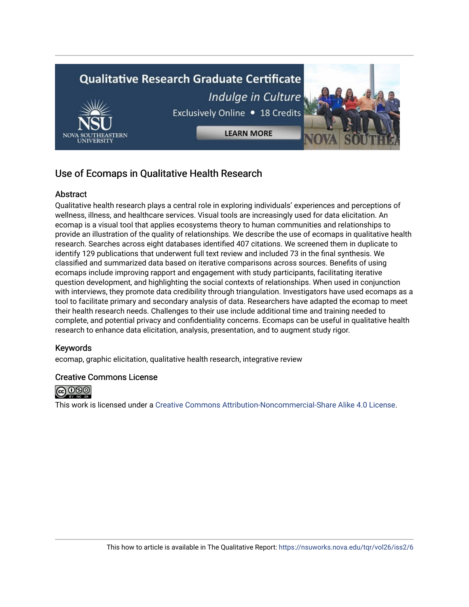

# Use of Ecomaps in Qualitative Health Research

## **Abstract**

Qualitative health research plays a central role in exploring individuals' experiences and perceptions of wellness, illness, and healthcare services. Visual tools are increasingly used for data elicitation. An ecomap is a visual tool that applies ecosystems theory to human communities and relationships to provide an illustration of the quality of relationships. We describe the use of ecomaps in qualitative health research. Searches across eight databases identified 407 citations. We screened them in duplicate to identify 129 publications that underwent full text review and included 73 in the final synthesis. We classified and summarized data based on iterative comparisons across sources. Benefits of using ecomaps include improving rapport and engagement with study participants, facilitating iterative question development, and highlighting the social contexts of relationships. When used in conjunction with interviews, they promote data credibility through triangulation. Investigators have used ecomaps as a tool to facilitate primary and secondary analysis of data. Researchers have adapted the ecomap to meet their health research needs. Challenges to their use include additional time and training needed to complete, and potential privacy and confidentiality concerns. Ecomaps can be useful in qualitative health research to enhance data elicitation, analysis, presentation, and to augment study rigor.

## Keywords

ecomap, graphic elicitation, qualitative health research, integrative review

## Creative Commons License



This work is licensed under a [Creative Commons Attribution-Noncommercial-Share Alike 4.0 License](https://creativecommons.org/licenses/by-nc-sa/4.0/).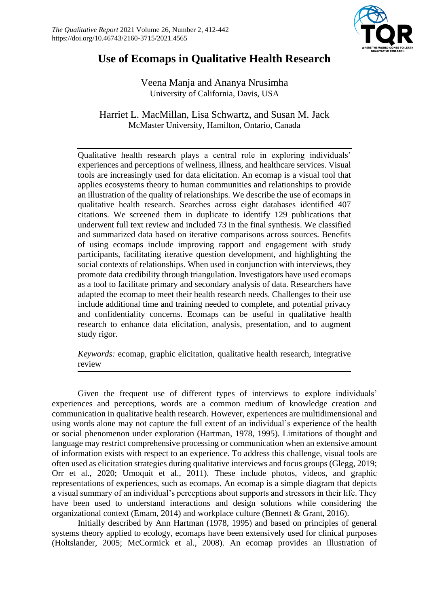

# **Use of Ecomaps in Qualitative Health Research**

Veena Manja and Ananya Nrusimha University of California, Davis, USA

Harriet L. MacMillan, Lisa Schwartz, and Susan M. Jack McMaster University, Hamilton, Ontario, Canada

Qualitative health research plays a central role in exploring individuals' experiences and perceptions of wellness, illness, and healthcare services. Visual tools are increasingly used for data elicitation. An ecomap is a visual tool that applies ecosystems theory to human communities and relationships to provide an illustration of the quality of relationships. We describe the use of ecomaps in qualitative health research. Searches across eight databases identified 407 citations. We screened them in duplicate to identify 129 publications that underwent full text review and included 73 in the final synthesis. We classified and summarized data based on iterative comparisons across sources. Benefits of using ecomaps include improving rapport and engagement with study participants, facilitating iterative question development, and highlighting the social contexts of relationships. When used in conjunction with interviews, they promote data credibility through triangulation. Investigators have used ecomaps as a tool to facilitate primary and secondary analysis of data. Researchers have adapted the ecomap to meet their health research needs. Challenges to their use include additional time and training needed to complete, and potential privacy and confidentiality concerns. Ecomaps can be useful in qualitative health research to enhance data elicitation, analysis, presentation, and to augment study rigor.

*Keywords:* ecomap, graphic elicitation, qualitative health research, integrative review

Given the frequent use of different types of interviews to explore individuals' experiences and perceptions, words are a common medium of knowledge creation and communication in qualitative health research. However, experiences are multidimensional and using words alone may not capture the full extent of an individual's experience of the health or social phenomenon under exploration (Hartman, 1978, 1995). Limitations of thought and language may restrict comprehensive processing or communication when an extensive amount of information exists with respect to an experience. To address this challenge, visual tools are often used as elicitation strategies during qualitative interviews and focus groups (Glegg, 2019; Orr et al., 2020; Umoquit et al., 2011). These include photos, videos, and graphic representations of experiences, such as ecomaps. An ecomap is a simple diagram that depicts a visual summary of an individual's perceptions about supports and stressors in their life. They have been used to understand interactions and design solutions while considering the organizational context (Emam, 2014) and workplace culture (Bennett & Grant, 2016).

Initially described by Ann Hartman (1978, 1995) and based on principles of general systems theory applied to ecology, ecomaps have been extensively used for clinical purposes (Holtslander, 2005; McCormick et al., 2008). An ecomap provides an illustration of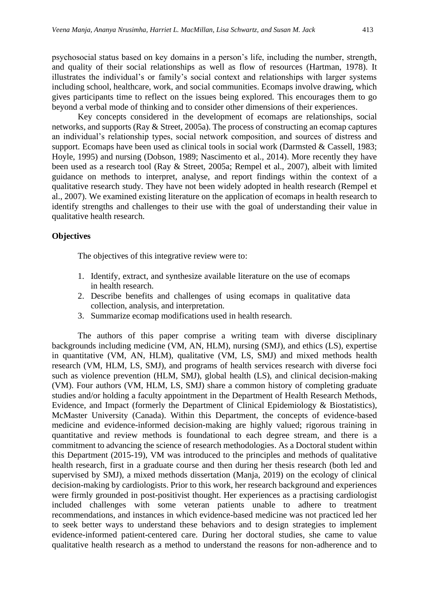psychosocial status based on key domains in a person's life, including the number, strength, and quality of their social relationships as well as flow of resources (Hartman, 1978). It illustrates the individual's or family's social context and relationships with larger systems including school, healthcare, work, and social communities. Ecomaps involve drawing, which gives participants time to reflect on the issues being explored. This encourages them to go beyond a verbal mode of thinking and to consider other dimensions of their experiences.

Key concepts considered in the development of ecomaps are relationships, social networks, and supports (Ray & Street, 2005a). The process of constructing an ecomap captures an individual's relationship types, social network composition, and sources of distress and support. Ecomaps have been used as clinical tools in social work (Darmsted & Cassell, 1983; Hoyle, 1995) and nursing (Dobson, 1989; Nascimento et al., 2014). More recently they have been used as a research tool (Ray & Street, 2005a; Rempel et al., 2007), albeit with limited guidance on methods to interpret, analyse, and report findings within the context of a qualitative research study. They have not been widely adopted in health research (Rempel et al., 2007). We examined existing literature on the application of ecomaps in health research to identify strengths and challenges to their use with the goal of understanding their value in qualitative health research.

### **Objectives**

The objectives of this integrative review were to:

- 1. Identify, extract, and synthesize available literature on the use of ecomaps in health research.
- 2. Describe benefits and challenges of using ecomaps in qualitative data collection, analysis, and interpretation.
- 3. Summarize ecomap modifications used in health research.

The authors of this paper comprise a writing team with diverse disciplinary backgrounds including medicine (VM, AN, HLM), nursing (SMJ), and ethics (LS), expertise in quantitative (VM, AN, HLM), qualitative (VM, LS, SMJ) and mixed methods health research (VM, HLM, LS, SMJ), and programs of health services research with diverse foci such as violence prevention (HLM, SMJ), global health (LS), and clinical decision-making (VM). Four authors (VM, HLM, LS, SMJ) share a common history of completing graduate studies and/or holding a faculty appointment in the Department of Health Research Methods, Evidence, and Impact (formerly the Department of Clinical Epidemiology & Biostatistics), McMaster University (Canada). Within this Department, the concepts of evidence-based medicine and evidence-informed decision-making are highly valued; rigorous training in quantitative and review methods is foundational to each degree stream, and there is a commitment to advancing the science of research methodologies. As a Doctoral student within this Department (2015-19), VM was introduced to the principles and methods of qualitative health research, first in a graduate course and then during her thesis research (both led and supervised by SMJ), a mixed methods dissertation (Manja, 2019) on the ecology of clinical decision-making by cardiologists. Prior to this work, her research background and experiences were firmly grounded in post-positivist thought. Her experiences as a practising cardiologist included challenges with some veteran patients unable to adhere to treatment recommendations, and instances in which evidence-based medicine was not practiced led her to seek better ways to understand these behaviors and to design strategies to implement evidence-informed patient-centered care. During her doctoral studies, she came to value qualitative health research as a method to understand the reasons for non-adherence and to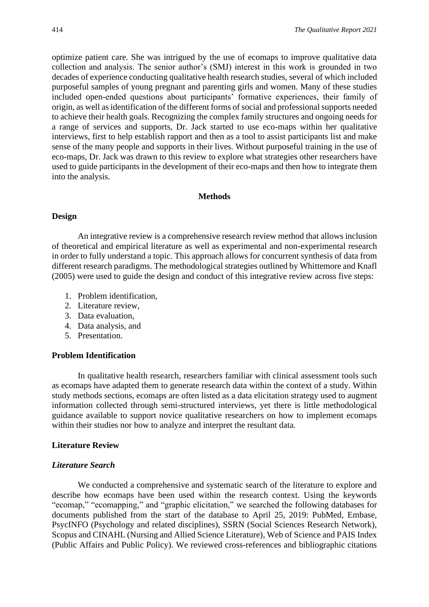optimize patient care. She was intrigued by the use of ecomaps to improve qualitative data collection and analysis. The senior author's (SMJ) interest in this work is grounded in two decades of experience conducting qualitative health research studies, several of which included purposeful samples of young pregnant and parenting girls and women. Many of these studies included open-ended questions about participants' formative experiences, their family of origin, as well as identification of the different forms of social and professional supports needed to achieve their health goals. Recognizing the complex family structures and ongoing needs for a range of services and supports, Dr. Jack started to use eco-maps within her qualitative interviews, first to help establish rapport and then as a tool to assist participants list and make sense of the many people and supports in their lives. Without purposeful training in the use of eco-maps, Dr. Jack was drawn to this review to explore what strategies other researchers have used to guide participants in the development of their eco-maps and then how to integrate them into the analysis.

#### **Methods**

#### **Design**

An integrative review is a comprehensive research review method that allows inclusion of theoretical and empirical literature as well as experimental and non-experimental research in order to fully understand a topic. This approach allows for concurrent synthesis of data from different research paradigms. The methodological strategies outlined by Whittemore and Knafl (2005) were used to guide the design and conduct of this integrative review across five steps:

- 1. Problem identification,
- 2. Literature review,
- 3. Data evaluation,
- 4. Data analysis, and
- 5. Presentation.

### **Problem Identification**

In qualitative health research, researchers familiar with clinical assessment tools such as ecomaps have adapted them to generate research data within the context of a study. Within study methods sections, ecomaps are often listed as a data elicitation strategy used to augment information collected through semi-structured interviews, yet there is little methodological guidance available to support novice qualitative researchers on how to implement ecomaps within their studies nor how to analyze and interpret the resultant data.

#### **Literature Review**

#### *Literature Search*

We conducted a comprehensive and systematic search of the literature to explore and describe how ecomaps have been used within the research context. Using the keywords "ecomap," "ecomapping," and "graphic elicitation," we searched the following databases for documents published from the start of the database to April 25, 2019: PubMed, Embase, PsycINFO (Psychology and related disciplines), SSRN (Social Sciences Research Network), Scopus and CINAHL (Nursing and Allied Science Literature), Web of Science and PAIS Index (Public Affairs and Public Policy). We reviewed cross-references and bibliographic citations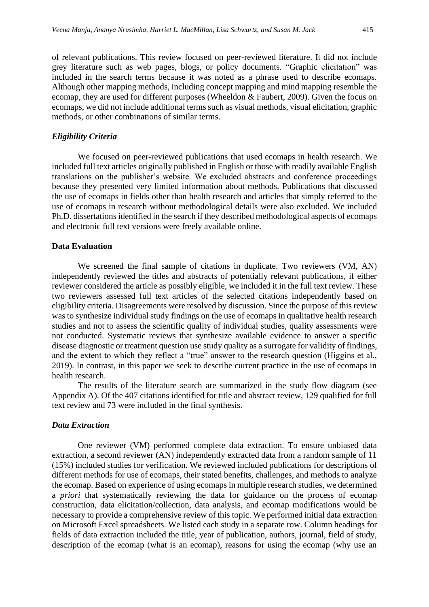of relevant publications. This review focused on peer-reviewed literature. It did not include grey literature such as web pages, blogs, or policy documents. "Graphic elicitation" was included in the search terms because it was noted as a phrase used to describe ecomaps. Although other mapping methods, including concept mapping and mind mapping resemble the ecomap, they are used for different purposes (Wheeldon & Faubert, 2009). Given the focus on ecomaps, we did not include additional terms such as visual methods, visual elicitation, graphic methods, or other combinations of similar terms.

#### *Eligibility Criteria*

We focused on peer-reviewed publications that used ecomaps in health research. We included full text articles originally published in English or those with readily available English translations on the publisher's website. We excluded abstracts and conference proceedings because they presented very limited information about methods. Publications that discussed the use of ecomaps in fields other than health research and articles that simply referred to the use of ecomaps in research without methodological details were also excluded. We included Ph.D. dissertations identified in the search if they described methodological aspects of ecomaps and electronic full text versions were freely available online.

#### **Data Evaluation**

We screened the final sample of citations in duplicate. Two reviewers (VM, AN) independently reviewed the titles and abstracts of potentially relevant publications, if either reviewer considered the article as possibly eligible, we included it in the full text review. These two reviewers assessed full text articles of the selected citations independently based on eligibility criteria. Disagreements were resolved by discussion. Since the purpose of this review was to synthesize individual study findings on the use of ecomaps in qualitative health research studies and not to assess the scientific quality of individual studies, quality assessments were not conducted. Systematic reviews that synthesize available evidence to answer a specific disease diagnostic or treatment question use study quality as a surrogate for validity of findings, and the extent to which they reflect a "true" answer to the research question (Higgins et al., 2019). In contrast, in this paper we seek to describe current practice in the use of ecomaps in health research.

The results of the literature search are summarized in the study flow diagram (see Appendix A). Of the 407 citations identified for title and abstract review, 129 qualified for full text review and 73 were included in the final synthesis.

#### *Data Extraction*

One reviewer (VM) performed complete data extraction. To ensure unbiased data extraction, a second reviewer (AN) independently extracted data from a random sample of 11 (15%) included studies for verification. We reviewed included publications for descriptions of different methods for use of ecomaps, their stated benefits, challenges, and methods to analyze the ecomap. Based on experience of using ecomaps in multiple research studies, we determined a *priori* that systematically reviewing the data for guidance on the process of ecomap construction, data elicitation/collection, data analysis, and ecomap modifications would be necessary to provide a comprehensive review of this topic. We performed initial data extraction on Microsoft Excel spreadsheets. We listed each study in a separate row. Column headings for fields of data extraction included the title, year of publication, authors, journal, field of study, description of the ecomap (what is an ecomap), reasons for using the ecomap (why use an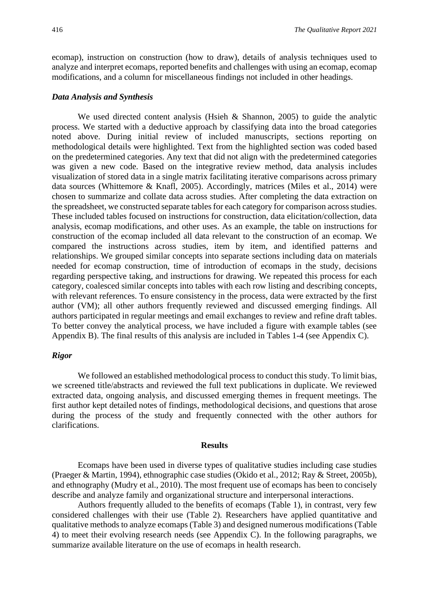ecomap), instruction on construction (how to draw), details of analysis techniques used to analyze and interpret ecomaps, reported benefits and challenges with using an ecomap, ecomap modifications, and a column for miscellaneous findings not included in other headings.

#### *Data Analysis and Synthesis*

We used directed content analysis (Hsieh  $\&$  Shannon, 2005) to guide the analytic process. We started with a deductive approach by classifying data into the broad categories noted above. During initial review of included manuscripts, sections reporting on methodological details were highlighted. Text from the highlighted section was coded based on the predetermined categories. Any text that did not align with the predetermined categories was given a new code. Based on the integrative review method, data analysis includes visualization of stored data in a single matrix facilitating iterative comparisons across primary data sources (Whittemore & Knafl, 2005). Accordingly, matrices (Miles et al., 2014) were chosen to summarize and collate data across studies. After completing the data extraction on the spreadsheet, we constructed separate tables for each category for comparison across studies. These included tables focused on instructions for construction, data elicitation/collection, data analysis, ecomap modifications, and other uses. As an example, the table on instructions for construction of the ecomap included all data relevant to the construction of an ecomap. We compared the instructions across studies, item by item, and identified patterns and relationships. We grouped similar concepts into separate sections including data on materials needed for ecomap construction, time of introduction of ecomaps in the study, decisions regarding perspective taking, and instructions for drawing. We repeated this process for each category, coalesced similar concepts into tables with each row listing and describing concepts, with relevant references. To ensure consistency in the process, data were extracted by the first author (VM); all other authors frequently reviewed and discussed emerging findings. All authors participated in regular meetings and email exchanges to review and refine draft tables. To better convey the analytical process, we have included a figure with example tables (see Appendix B). The final results of this analysis are included in Tables 1-4 (see Appendix C).

#### *Rigor*

We followed an established methodological process to conduct this study. To limit bias, we screened title/abstracts and reviewed the full text publications in duplicate. We reviewed extracted data, ongoing analysis, and discussed emerging themes in frequent meetings. The first author kept detailed notes of findings, methodological decisions, and questions that arose during the process of the study and frequently connected with the other authors for clarifications.

#### **Results**

Ecomaps have been used in diverse types of qualitative studies including case studies (Praeger & Martin, 1994), ethnographic case studies (Okido et al., 2012; Ray & Street, 2005b), and ethnography (Mudry et al., 2010). The most frequent use of ecomaps has been to concisely describe and analyze family and organizational structure and interpersonal interactions.

Authors frequently alluded to the benefits of ecomaps (Table 1), in contrast, very few considered challenges with their use (Table 2). Researchers have applied quantitative and qualitative methods to analyze ecomaps (Table 3) and designed numerous modifications (Table 4) to meet their evolving research needs (see Appendix C). In the following paragraphs, we summarize available literature on the use of ecomaps in health research.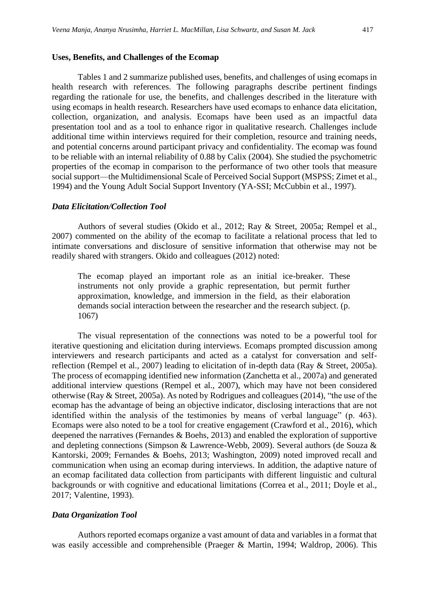#### **Uses, Benefits, and Challenges of the Ecomap**

Tables 1 and 2 summarize published uses, benefits, and challenges of using ecomaps in health research with references. The following paragraphs describe pertinent findings regarding the rationale for use, the benefits, and challenges described in the literature with using ecomaps in health research. Researchers have used ecomaps to enhance data elicitation, collection, organization, and analysis. Ecomaps have been used as an impactful data presentation tool and as a tool to enhance rigor in qualitative research. Challenges include additional time within interviews required for their completion, resource and training needs, and potential concerns around participant privacy and confidentiality. The ecomap was found to be reliable with an internal reliability of 0.88 by Calix (2004). She studied the psychometric properties of the ecomap in comparison to the performance of two other tools that measure social support—the Multidimensional Scale of Perceived Social Support (MSPSS; Zimet et al., 1994) and the Young Adult Social Support Inventory (YA-SSI; McCubbin et al., 1997).

#### *Data Elicitation/Collection Tool*

Authors of several studies (Okido et al., 2012; Ray & Street, 2005a; Rempel et al., 2007) commented on the ability of the ecomap to facilitate a relational process that led to intimate conversations and disclosure of sensitive information that otherwise may not be readily shared with strangers. Okido and colleagues (2012) noted:

The ecomap played an important role as an initial ice-breaker. These instruments not only provide a graphic representation, but permit further approximation, knowledge, and immersion in the field, as their elaboration demands social interaction between the researcher and the research subject. (p. 1067)

The visual representation of the connections was noted to be a powerful tool for iterative questioning and elicitation during interviews. Ecomaps prompted discussion among interviewers and research participants and acted as a catalyst for conversation and selfreflection (Rempel et al., 2007) leading to elicitation of in-depth data (Ray & Street, 2005a). The process of ecomapping identified new information (Zanchetta et al., 2007a) and generated additional interview questions (Rempel et al., 2007), which may have not been considered otherwise (Ray & Street, 2005a). As noted by Rodrigues and colleagues (2014), "the use of the ecomap has the advantage of being an objective indicator, disclosing interactions that are not identified within the analysis of the testimonies by means of verbal language" (p. 463). Ecomaps were also noted to be a tool for creative engagement (Crawford et al., 2016), which deepened the narratives (Fernandes & Boehs, 2013) and enabled the exploration of supportive and depleting connections (Simpson & Lawrence-Webb, 2009). Several authors (de Souza & Kantorski, 2009; Fernandes & Boehs, 2013; Washington, 2009) noted improved recall and communication when using an ecomap during interviews. In addition, the adaptive nature of an ecomap facilitated data collection from participants with different linguistic and cultural backgrounds or with cognitive and educational limitations (Correa et al., 2011; Doyle et al., 2017; Valentine, 1993).

#### *Data Organization Tool*

Authors reported ecomaps organize a vast amount of data and variables in a format that was easily accessible and comprehensible (Praeger & Martin, 1994; Waldrop, 2006). This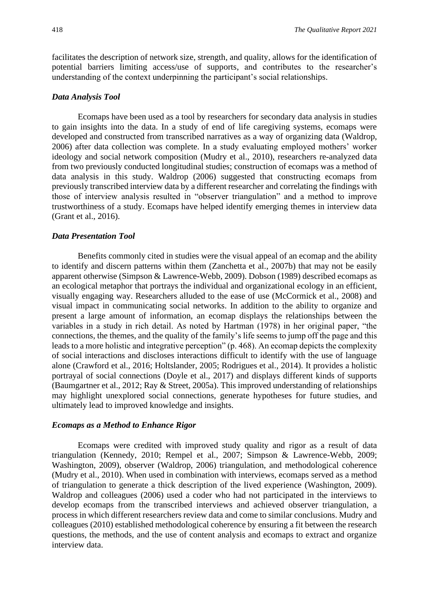facilitates the description of network size, strength, and quality, allows for the identification of potential barriers limiting access/use of supports, and contributes to the researcher's understanding of the context underpinning the participant's social relationships.

#### *Data Analysis Tool*

Ecomaps have been used as a tool by researchers for secondary data analysis in studies to gain insights into the data. In a study of end of life caregiving systems, ecomaps were developed and constructed from transcribed narratives as a way of organizing data (Waldrop, 2006) after data collection was complete. In a study evaluating employed mothers' worker ideology and social network composition (Mudry et al., 2010), researchers re-analyzed data from two previously conducted longitudinal studies; construction of ecomaps was a method of data analysis in this study. Waldrop (2006) suggested that constructing ecomaps from previously transcribed interview data by a different researcher and correlating the findings with those of interview analysis resulted in "observer triangulation" and a method to improve trustworthiness of a study. Ecomaps have helped identify emerging themes in interview data (Grant et al., 2016).

#### *Data Presentation Tool*

Benefits commonly cited in studies were the visual appeal of an ecomap and the ability to identify and discern patterns within them (Zanchetta et al., 2007b) that may not be easily apparent otherwise (Simpson & Lawrence-Webb, 2009). Dobson (1989) described ecomaps as an ecological metaphor that portrays the individual and organizational ecology in an efficient, visually engaging way. Researchers alluded to the ease of use (McCormick et al., 2008) and visual impact in communicating social networks. In addition to the ability to organize and present a large amount of information, an ecomap displays the relationships between the variables in a study in rich detail. As noted by Hartman (1978) in her original paper, "the connections, the themes, and the quality of the family's life seems to jump off the page and this leads to a more holistic and integrative perception" (p. 468). An ecomap depicts the complexity of social interactions and discloses interactions difficult to identify with the use of language alone (Crawford et al., 2016; Holtslander, 2005; Rodrigues et al., 2014). It provides a holistic portrayal of social connections (Doyle et al., 2017) and displays different kinds of supports (Baumgartner et al., 2012; Ray & Street, 2005a). This improved understanding of relationships may highlight unexplored social connections, generate hypotheses for future studies, and ultimately lead to improved knowledge and insights.

### *Ecomaps as a Method to Enhance Rigor*

Ecomaps were credited with improved study quality and rigor as a result of data triangulation (Kennedy, 2010; Rempel et al., 2007; Simpson & Lawrence-Webb, 2009; Washington, 2009), observer (Waldrop, 2006) triangulation, and methodological coherence (Mudry et al., 2010). When used in combination with interviews, ecomaps served as a method of triangulation to generate a thick description of the lived experience (Washington, 2009). Waldrop and colleagues (2006) used a coder who had not participated in the interviews to develop ecomaps from the transcribed interviews and achieved observer triangulation, a process in which different researchers review data and come to similar conclusions. Mudry and colleagues (2010) established methodological coherence by ensuring a fit between the research questions, the methods, and the use of content analysis and ecomaps to extract and organize interview data.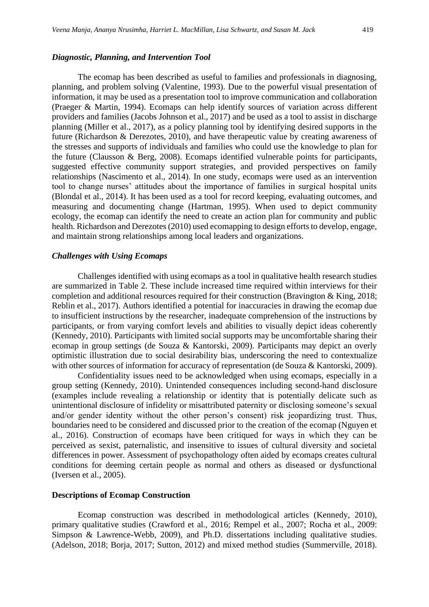#### *Diagnostic, Planning, and Intervention Tool*

The ecomap has been described as useful to families and professionals in diagnosing, planning, and problem solving (Valentine, 1993). Due to the powerful visual presentation of information, it may be used as a presentation tool to improve communication and collaboration (Praeger & Martin, 1994). Ecomaps can help identify sources of variation across different providers and families (Jacobs Johnson et al., 2017) and be used as a tool to assist in discharge planning (Miller et al., 2017), as a policy planning tool by identifying desired supports in the future (Richardson & Derezotes, 2010), and have therapeutic value by creating awareness of the stresses and supports of individuals and families who could use the knowledge to plan for the future (Clausson & Berg, 2008). Ecomaps identified vulnerable points for participants, suggested effective community support strategies, and provided perspectives on family relationships (Nascimento et al., 2014). In one study, ecomaps were used as an intervention tool to change nurses' attitudes about the importance of families in surgical hospital units (Blondal et al., 2014). It has been used as a tool for record keeping, evaluating outcomes, and measuring and documenting change (Hartman, 1995). When used to depict community ecology, the ecomap can identify the need to create an action plan for community and public health. Richardson and Derezotes (2010) used ecomapping to design efforts to develop, engage, and maintain strong relationships among local leaders and organizations.

#### *Challenges with Using Ecomaps*

Challenges identified with using ecomaps as a tool in qualitative health research studies are summarized in Table 2. These include increased time required within interviews for their completion and additional resources required for their construction (Bravington & King, 2018; Reblin et al., 2017). Authors identified a potential for inaccuracies in drawing the ecomap due to insufficient instructions by the researcher, inadequate comprehension of the instructions by participants, or from varying comfort levels and abilities to visually depict ideas coherently (Kennedy, 2010). Participants with limited social supports may be uncomfortable sharing their ecomap in group settings (de Souza & Kantorski, 2009). Participants may depict an overly optimistic illustration due to social desirability bias, underscoring the need to contextualize with other sources of information for accuracy of representation (de Souza & Kantorski, 2009).

Confidentiality issues need to be acknowledged when using ecomaps, especially in a group setting (Kennedy, 2010). Unintended consequences including second-hand disclosure (examples include revealing a relationship or identity that is potentially delicate such as unintentional disclosure of infidelity or misattributed paternity or disclosing someone's sexual and/or gender identity without the other person's consent) risk jeopardizing trust. Thus, boundaries need to be considered and discussed prior to the creation of the ecomap (Nguyen et al., 2016). Construction of ecomaps have been critiqued for ways in which they can be perceived as sexist, paternalistic, and insensitive to issues of cultural diversity and societal differences in power. Assessment of psychopathology often aided by ecomaps creates cultural conditions for deeming certain people as normal and others as diseased or dysfunctional (Iversen et al., 2005).

#### **Descriptions of Ecomap Construction**

Ecomap construction was described in methodological articles (Kennedy, 2010), primary qualitative studies (Crawford et al., 2016; Rempel et al., 2007; Rocha et al., 2009: Simpson & Lawrence-Webb, 2009), and Ph.D. dissertations including qualitative studies. (Adelson, 2018; Borja, 2017; Sutton, 2012) and mixed method studies (Summerville, 2018).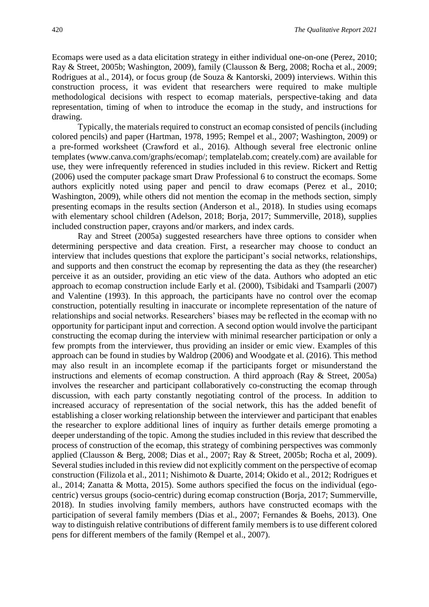Ecomaps were used as a data elicitation strategy in either individual one-on-one (Perez, 2010; Ray & Street, 2005b; Washington, 2009), family (Clausson & Berg, 2008; Rocha et al., 2009; Rodrigues at al., 2014), or focus group (de Souza & Kantorski, 2009) interviews. Within this construction process, it was evident that researchers were required to make multiple methodological decisions with respect to ecomap materials, perspective-taking and data representation, timing of when to introduce the ecomap in the study, and instructions for drawing.

Typically, the materials required to construct an ecomap consisted of pencils (including colored pencils) and paper (Hartman, 1978, 1995; Rempel et al., 2007; Washington, 2009) or a pre-formed worksheet (Crawford et al., 2016). Although several free electronic online templates (www.canva.com/graphs/ecomap/; templatelab.com; creately.com) are available for use, they were infrequently referenced in studies included in this review. Rickert and Rettig (2006) used the computer package smart Draw Professional 6 to construct the ecomaps. Some authors explicitly noted using paper and pencil to draw ecomaps (Perez et al., 2010; Washington, 2009), while others did not mention the ecomap in the methods section, simply presenting ecomaps in the results section (Anderson et al., 2018). In studies using ecomaps with elementary school children (Adelson, 2018; Borja, 2017; Summerville, 2018), supplies included construction paper, crayons and/or markers, and index cards.

Ray and Street (2005a) suggested researchers have three options to consider when determining perspective and data creation. First, a researcher may choose to conduct an interview that includes questions that explore the participant's social networks, relationships, and supports and then construct the ecomap by representing the data as they (the researcher) perceive it as an outsider, providing an etic view of the data. Authors who adopted an etic approach to ecomap construction include Early et al. (2000), Tsibidaki and Tsamparli (2007) and Valentine (1993). In this approach, the participants have no control over the ecomap construction, potentially resulting in inaccurate or incomplete representation of the nature of relationships and social networks. Researchers' biases may be reflected in the ecomap with no opportunity for participant input and correction. A second option would involve the participant constructing the ecomap during the interview with minimal researcher participation or only a few prompts from the interviewer, thus providing an insider or emic view. Examples of this approach can be found in studies by Waldrop (2006) and Woodgate et al. (2016). This method may also result in an incomplete ecomap if the participants forget or misunderstand the instructions and elements of ecomap construction. A third approach (Ray & Street, 2005a) involves the researcher and participant collaboratively co-constructing the ecomap through discussion, with each party constantly negotiating control of the process. In addition to increased accuracy of representation of the social network, this has the added benefit of establishing a closer working relationship between the interviewer and participant that enables the researcher to explore additional lines of inquiry as further details emerge promoting a deeper understanding of the topic. Among the studies included in this review that described the process of construction of the ecomap, this strategy of combining perspectives was commonly applied (Clausson & Berg, 2008; Dias et al., 2007; Ray & Street, 2005b; Rocha et al, 2009). Several studies included in this review did not explicitly comment on the perspective of ecomap construction (Filizola et al., 2011; Nishimoto & Duarte, 2014; Okido et al., 2012; Rodrigues et al., 2014; Zanatta & Motta, 2015). Some authors specified the focus on the individual (egocentric) versus groups (socio-centric) during ecomap construction (Borja, 2017; Summerville, 2018). In studies involving family members, authors have constructed ecomaps with the participation of several family members (Dias et al., 2007; Fernandes & Boehs, 2013). One way to distinguish relative contributions of different family members is to use different colored pens for different members of the family (Rempel et al., 2007).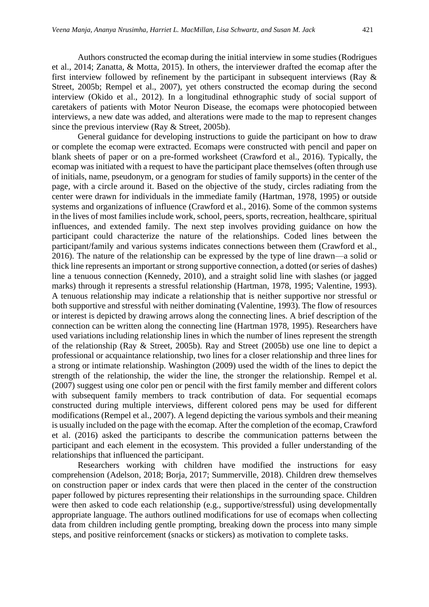Authors constructed the ecomap during the initial interview in some studies (Rodrigues et al., 2014; Zanatta, & Motta, 2015). In others, the interviewer drafted the ecomap after the first interview followed by refinement by the participant in subsequent interviews (Ray & Street, 2005b; Rempel et al., 2007), yet others constructed the ecomap during the second interview (Okido et al., 2012). In a longitudinal ethnographic study of social support of caretakers of patients with Motor Neuron Disease, the ecomaps were photocopied between interviews, a new date was added, and alterations were made to the map to represent changes since the previous interview (Ray & Street, 2005b).

General guidance for developing instructions to guide the participant on how to draw or complete the ecomap were extracted. Ecomaps were constructed with pencil and paper on blank sheets of paper or on a pre-formed worksheet (Crawford et al., 2016). Typically, the ecomap was initiated with a request to have the participant place themselves (often through use of initials, name, pseudonym, or a genogram for studies of family supports) in the center of the page, with a circle around it. Based on the objective of the study, circles radiating from the center were drawn for individuals in the immediate family (Hartman, 1978, 1995) or outside systems and organizations of influence (Crawford et al., 2016). Some of the common systems in the lives of most families include work, school, peers, sports, recreation, healthcare, spiritual influences, and extended family. The next step involves providing guidance on how the participant could characterize the nature of the relationships. Coded lines between the participant/family and various systems indicates connections between them (Crawford et al., 2016). The nature of the relationship can be expressed by the type of line drawn—a solid or thick line represents an important or strong supportive connection, a dotted (or series of dashes) line a tenuous connection (Kennedy, 2010), and a straight solid line with slashes (or jagged marks) through it represents a stressful relationship (Hartman, 1978, 1995; Valentine, 1993). A tenuous relationship may indicate a relationship that is neither supportive nor stressful or both supportive and stressful with neither dominating (Valentine, 1993). The flow of resources or interest is depicted by drawing arrows along the connecting lines. A brief description of the connection can be written along the connecting line (Hartman 1978, 1995). Researchers have used variations including relationship lines in which the number of lines represent the strength of the relationship (Ray & Street, 2005b). Ray and Street (2005b) use one line to depict a professional or acquaintance relationship, two lines for a closer relationship and three lines for a strong or intimate relationship. Washington (2009) used the width of the lines to depict the strength of the relationship, the wider the line, the stronger the relationship. Rempel et al. (2007) suggest using one color pen or pencil with the first family member and different colors with subsequent family members to track contribution of data. For sequential ecomaps constructed during multiple interviews, different colored pens may be used for different modifications (Rempel et al., 2007). A legend depicting the various symbols and their meaning is usually included on the page with the ecomap. After the completion of the ecomap, Crawford et al. (2016) asked the participants to describe the communication patterns between the participant and each element in the ecosystem. This provided a fuller understanding of the relationships that influenced the participant.

Researchers working with children have modified the instructions for easy comprehension (Adelson, 2018; Borja, 2017; Summerville, 2018). Children drew themselves on construction paper or index cards that were then placed in the center of the construction paper followed by pictures representing their relationships in the surrounding space. Children were then asked to code each relationship (e.g., supportive/stressful) using developmentally appropriate language. The authors outlined modifications for use of ecomaps when collecting data from children including gentle prompting, breaking down the process into many simple steps, and positive reinforcement (snacks or stickers) as motivation to complete tasks.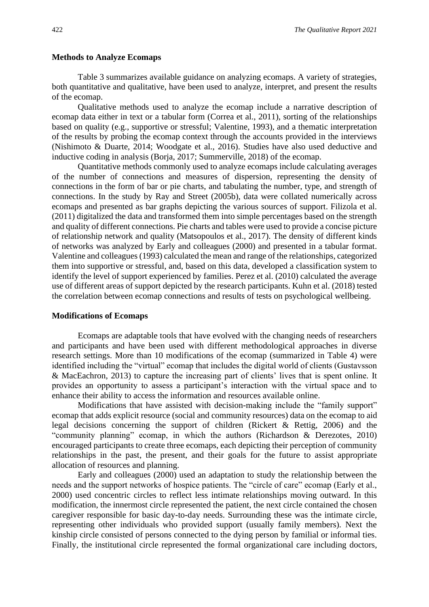#### **Methods to Analyze Ecomaps**

Table 3 summarizes available guidance on analyzing ecomaps. A variety of strategies, both quantitative and qualitative, have been used to analyze, interpret, and present the results of the ecomap.

Qualitative methods used to analyze the ecomap include a narrative description of ecomap data either in text or a tabular form (Correa et al., 2011), sorting of the relationships based on quality (e.g., supportive or stressful; Valentine, 1993), and a thematic interpretation of the results by probing the ecomap context through the accounts provided in the interviews (Nishimoto & Duarte, 2014; Woodgate et al., 2016). Studies have also used deductive and inductive coding in analysis (Borja, 2017; Summerville, 2018) of the ecomap.

Quantitative methods commonly used to analyze ecomaps include calculating averages of the number of connections and measures of dispersion, representing the density of connections in the form of bar or pie charts, and tabulating the number, type, and strength of connections. In the study by Ray and Street (2005b), data were collated numerically across ecomaps and presented as bar graphs depicting the various sources of support. Filizola et al. (2011) digitalized the data and transformed them into simple percentages based on the strength and quality of different connections. Pie charts and tables were used to provide a concise picture of relationship network and quality (Matsopoulos et al., 2017). The density of different kinds of networks was analyzed by Early and colleagues (2000) and presented in a tabular format. Valentine and colleagues (1993) calculated the mean and range of the relationships, categorized them into supportive or stressful, and, based on this data, developed a classification system to identify the level of support experienced by families. Perez et al. (2010) calculated the average use of different areas of support depicted by the research participants. Kuhn et al. (2018) tested the correlation between ecomap connections and results of tests on psychological wellbeing.

#### **Modifications of Ecomaps**

Ecomaps are adaptable tools that have evolved with the changing needs of researchers and participants and have been used with different methodological approaches in diverse research settings. More than 10 modifications of the ecomap (summarized in Table 4) were identified including the "virtual" ecomap that includes the digital world of clients (Gustavsson & MacEachron, 2013) to capture the increasing part of clients' lives that is spent online*.* It provides an opportunity to assess a participant's interaction with the virtual space and to enhance their ability to access the information and resources available online.

Modifications that have assisted with decision-making include the "family support" ecomap that adds explicit resource (social and community resources) data on the ecomap to aid legal decisions concerning the support of children (Rickert & Rettig, 2006) and the "community planning" ecomap, in which the authors (Richardson & Derezotes, 2010) encouraged participants to create three ecomaps, each depicting their perception of community relationships in the past, the present, and their goals for the future to assist appropriate allocation of resources and planning.

Early and colleagues (2000) used an adaptation to study the relationship between the needs and the support networks of hospice patients. The "circle of care" ecomap (Early et al., 2000) used concentric circles to reflect less intimate relationships moving outward. In this modification, the innermost circle represented the patient, the next circle contained the chosen caregiver responsible for basic day-to-day needs. Surrounding these was the intimate circle, representing other individuals who provided support (usually family members). Next the kinship circle consisted of persons connected to the dying person by familial or informal ties. Finally, the institutional circle represented the formal organizational care including doctors,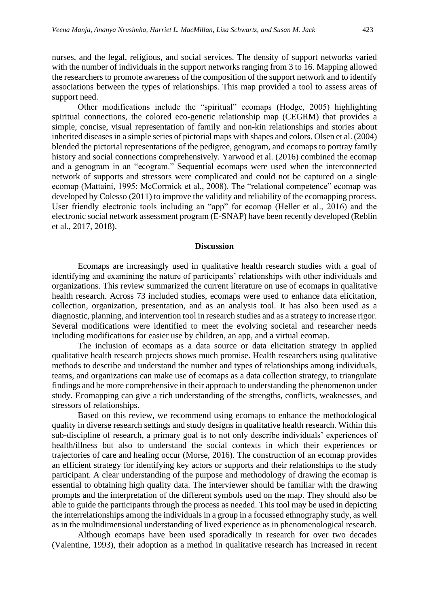nurses, and the legal, religious, and social services. The density of support networks varied with the number of individuals in the support networks ranging from 3 to 16. Mapping allowed the researchers to promote awareness of the composition of the support network and to identify

support need. Other modifications include the "spiritual" ecomaps (Hodge, 2005) highlighting spiritual connections, the colored eco-genetic relationship map (CEGRM) that provides a simple, concise, visual representation of family and non-kin relationships and stories about inherited diseases in a simple series of pictorial maps with shapes and colors. Olsen et al. (2004) blended the pictorial representations of the pedigree, genogram, and ecomaps to portray family history and social connections comprehensively. Yarwood et al. (2016) combined the ecomap and a genogram in an "ecogram." Sequential ecomaps were used when the interconnected network of supports and stressors were complicated and could not be captured on a single ecomap (Mattaini, 1995; McCormick et al., 2008). The "relational competence" ecomap was developed by Colesso (2011) to improve the validity and reliability of the ecomapping process. User friendly electronic tools including an "app" for ecomap (Heller et al., 2016) and the electronic social network assessment program (E-SNAP) have been recently developed (Reblin et al., 2017, 2018).

associations between the types of relationships. This map provided a tool to assess areas of

#### **Discussion**

Ecomaps are increasingly used in qualitative health research studies with a goal of identifying and examining the nature of participants' relationships with other individuals and organizations. This review summarized the current literature on use of ecomaps in qualitative health research. Across 73 included studies, ecomaps were used to enhance data elicitation, collection, organization, presentation, and as an analysis tool. It has also been used as a diagnostic, planning, and intervention tool in research studies and as a strategy to increase rigor. Several modifications were identified to meet the evolving societal and researcher needs including modifications for easier use by children, an app, and a virtual ecomap.

The inclusion of ecomaps as a data source or data elicitation strategy in applied qualitative health research projects shows much promise. Health researchers using qualitative methods to describe and understand the number and types of relationships among individuals, teams, and organizations can make use of ecomaps as a data collection strategy, to triangulate findings and be more comprehensive in their approach to understanding the phenomenon under study. Ecomapping can give a rich understanding of the strengths, conflicts, weaknesses, and stressors of relationships.

Based on this review, we recommend using ecomaps to enhance the methodological quality in diverse research settings and study designs in qualitative health research. Within this sub-discipline of research, a primary goal is to not only describe individuals' experiences of health/illness but also to understand the social contexts in which their experiences or trajectories of care and healing occur (Morse, 2016). The construction of an ecomap provides an efficient strategy for identifying key actors or supports and their relationships to the study participant. A clear understanding of the purpose and methodology of drawing the ecomap is essential to obtaining high quality data. The interviewer should be familiar with the drawing prompts and the interpretation of the different symbols used on the map. They should also be able to guide the participants through the process as needed. This tool may be used in depicting the interrelationships among the individuals in a group in a focussed ethnography study, as well as in the multidimensional understanding of lived experience as in phenomenological research.

Although ecomaps have been used sporadically in research for over two decades (Valentine, 1993), their adoption as a method in qualitative research has increased in recent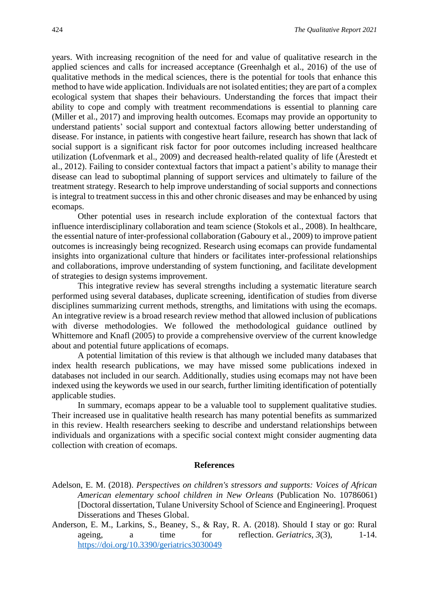years. With increasing recognition of the need for and value of qualitative research in the applied sciences and calls for increased acceptance (Greenhalgh et al., 2016) of the use of qualitative methods in the medical sciences, there is the potential for tools that enhance this method to have wide application. Individuals are not isolated entities; they are part of a complex ecological system that shapes their behaviours. Understanding the forces that impact their ability to cope and comply with treatment recommendations is essential to planning care (Miller et al., 2017) and improving health outcomes. Ecomaps may provide an opportunity to understand patients' social support and contextual factors allowing better understanding of disease. For instance, in patients with congestive heart failure, research has shown that lack of social support is a significant risk factor for poor outcomes including increased healthcare utilization (Lofvenmark et al., 2009) and decreased health-related quality of life (Årestedt et al., 2012). Failing to consider contextual factors that impact a patient's ability to manage their disease can lead to suboptimal planning of support services and ultimately to failure of the treatment strategy. Research to help improve understanding of social supports and connections is integral to treatment success in this and other chronic diseases and may be enhanced by using ecomaps.

Other potential uses in research include exploration of the contextual factors that influence interdisciplinary collaboration and team science (Stokols et al., 2008). In healthcare, the essential nature of inter-professional collaboration (Gaboury et al., 2009) to improve patient outcomes is increasingly being recognized. Research using ecomaps can provide fundamental insights into organizational culture that hinders or facilitates inter-professional relationships and collaborations, improve understanding of system functioning, and facilitate development of strategies to design systems improvement.

This integrative review has several strengths including a systematic literature search performed using several databases, duplicate screening, identification of studies from diverse disciplines summarizing current methods, strengths, and limitations with using the ecomaps. An integrative review is a broad research review method that allowed inclusion of publications with diverse methodologies. We followed the methodological guidance outlined by Whittemore and Knafl (2005) to provide a comprehensive overview of the current knowledge about and potential future applications of ecomaps.

A potential limitation of this review is that although we included many databases that index health research publications, we may have missed some publications indexed in databases not included in our search. Additionally, studies using ecomaps may not have been indexed using the keywords we used in our search, further limiting identification of potentially applicable studies.

In summary, ecomaps appear to be a valuable tool to supplement qualitative studies. Their increased use in qualitative health research has many potential benefits as summarized in this review. Health researchers seeking to describe and understand relationships between individuals and organizations with a specific social context might consider augmenting data collection with creation of ecomaps.

#### **References**

- Adelson, E. M. (2018). *Perspectives on children's stressors and supports: Voices of African American elementary school children in New Orleans* (Publication No. 10786061) [Doctoral dissertation, Tulane University School of Science and Engineering]. Proquest Disserations and Theses Global.
- Anderson, E. M., Larkins, S., Beaney, S., & Ray, R. A. (2018). Should I stay or go: Rural ageing, a time for reflection. *Geriatrics*,  $3(3)$ , 1-14. <https://doi.org/10.3390/geriatrics3030049>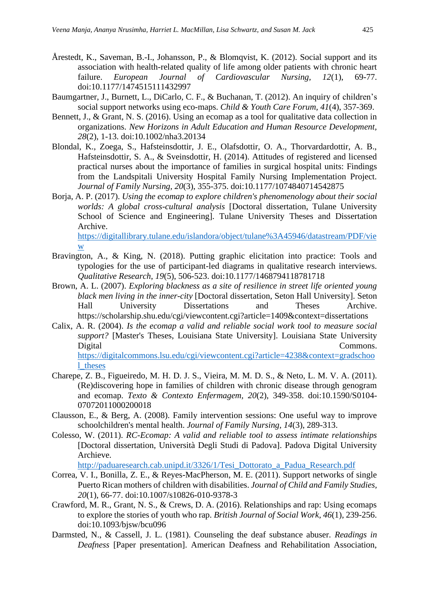- Årestedt, K., Saveman, B.-I., Johansson, P., & Blomqvist, K. (2012). Social support and its association with health-related quality of life among older patients with chronic heart failure. *European Journal of Cardiovascular Nursing, 12*(1), 69-77. doi:10.1177/1474515111432997
- Baumgartner, J., Burnett, L., DiCarlo, C. F., & Buchanan, T. (2012). An inquiry of children's social support networks using eco-maps. *Child & Youth Care Forum, 41*(4), 357-369.
- Bennett, J., & Grant, N. S. (2016). Using an ecomap as a tool for qualitative data collection in organizations. *New Horizons in Adult Education and Human Resource Development, 28*(2), 1-13. doi:10.1002/nha3.20134
- Blondal, K., Zoega, S., Hafsteinsdottir, J. E., Olafsdottir, O. A., Thorvardardottir, A. B., Hafsteinsdottir, S. A., & Sveinsdottir, H. (2014). Attitudes of registered and licensed practical nurses about the importance of families in surgical hospital units: Findings from the Landspitali University Hospital Family Nursing Implementation Project. *Journal of Family Nursing, 20*(3), 355-375. doi:10.1177/1074840714542875
- Borja, A. P. (2017). *Using the ecomap to explore children's phenomenology about their social worlds: A global cross-cultural analysis* [Doctoral dissertation, Tulane University School of Science and Engineering]. Tulane University Theses and Dissertation Archive. [https://digitallibrary.tulane.edu/islandora/object/tulane%3A45946/datastream/PDF/vie](https://digitallibrary.tulane.edu/islandora/object/tulane%3A45946/datastream/PDF/view)

[w](https://digitallibrary.tulane.edu/islandora/object/tulane%3A45946/datastream/PDF/view)

- Bravington, A., & King, N. (2018). Putting graphic elicitation into practice: Tools and typologies for the use of participant-led diagrams in qualitative research interviews. *Qualitative Research*, *19*(5), 506-523. doi:10.1177/1468794118781718
- Brown, A. L. (2007). *Exploring blackness as a site of resilience in street life oriented young black men living in the inner-city* [Doctoral dissertation, Seton Hall University]. Seton Hall University Dissertations and Theses Archive. https://scholarship.shu.edu/cgi/viewcontent.cgi?article=1409&context=dissertations
- Calix, A. R. (2004). *Is the ecomap a valid and reliable social work tool to measure social support?* [Master's Theses, Louisiana State University]. Louisiana State University Digital Commons.

[https://digitalcommons.lsu.edu/cgi/viewcontent.cgi?article=4238&context=gradschoo](https://digitalcommons.lsu.edu/cgi/viewcontent.cgi?article=4238&context=gradschool_theses) [l\\_theses](https://digitalcommons.lsu.edu/cgi/viewcontent.cgi?article=4238&context=gradschool_theses)

- Charepe, Z. B., Figueiredo, M. H. D. J. S., Vieira, M. M. D. S., & Neto, L. M. V. A. (2011). (Re)discovering hope in families of children with chronic disease through genogram and ecomap. *Texto & Contexto Enfermagem, 20*(2), 349-358. doi:10.1590/S0104- 07072011000200018
- Clausson, E., & Berg, A. (2008). Family intervention sessions: One useful way to improve schoolchildren's mental health. *Journal of Family Nursing, 14*(3), 289-313.
- Colesso, W. (2011). *RC-Ecomap: A valid and reliable tool to assess intimate relationships* [Doctoral dissertation, Università Degli Studi di Padova]. Padova Digital University Archieve.

[http://paduaresearch.cab.unipd.it/3326/1/Tesi\\_Dottorato\\_a\\_Padua\\_Research.pdf](http://paduaresearch.cab.unipd.it/3326/1/Tesi_Dottorato_a_Padua_Research.pdf)

- Correa, V. I., Bonilla, Z. E., & Reyes-MacPherson, M. E. (2011). Support networks of single Puerto Rican mothers of children with disabilities. *Journal of Child and Family Studies, 20*(1), 66-77. doi:10.1007/s10826-010-9378-3
- Crawford, M. R., Grant, N. S., & Crews, D. A. (2016). Relationships and rap: Using ecomaps to explore the stories of youth who rap. *British Journal of Social Work, 46*(1), 239-256. doi:10.1093/bjsw/bcu096
- Darmsted, N., & Cassell, J. L. (1981). Counseling the deaf substance abuser. *Readings in Deafness* [Paper presentation]. American Deafness and Rehabilitation Association,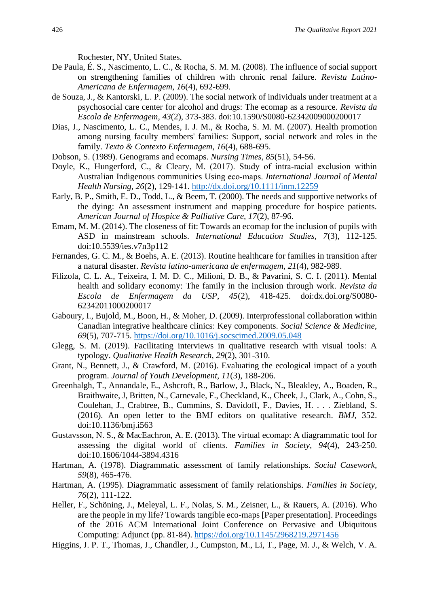Rochester, NY, United States.

- De Paula, É. S., Nascimento, L. C., & Rocha, S. M. M. (2008). The influence of social support on strengthening families of children with chronic renal failure. *Revista Latino-Americana de Enfermagem, 16*(4), 692-699.
- de Souza, J., & Kantorski, L. P. (2009). The social network of individuals under treatment at a psychosocial care center for alcohol and drugs: The ecomap as a resource. *Revista da Escola de Enfermagem, 43*(2), 373-383. doi:10.1590/S0080-62342009000200017
- Dias, J., Nascimento, L. C., Mendes, I. J. M., & Rocha, S. M. M. (2007). Health promotion among nursing faculty members' families: Support, social network and roles in the family. *Texto & Contexto Enfermagem, 16*(4), 688-695.
- Dobson, S. (1989). Genograms and ecomaps. *Nursing Times, 85*(51), 54-56.
- Doyle, K., Hungerford, C., & Cleary, M. (2017). Study of intra-racial exclusion within Australian Indigenous communities Using eco‐maps. *International Journal of Mental Health Nursing, 26*(2), 129-141.<http://dx.doi.org/10.1111/inm.12259>
- Early, B. P., Smith, E. D., Todd, L., & Beem, T. (2000). The needs and supportive networks of the dying: An assessment instrument and mapping procedure for hospice patients. *American Journal of Hospice & Palliative Care, 17*(2), 87-96.
- Emam, M. M. (2014). The closeness of fit: Towards an ecomap for the inclusion of pupils with ASD in mainstream schools. *International Education Studies, 7*(3), 112-125. doi:10.5539/ies.v7n3p112
- Fernandes, G. C. M., & Boehs, A. E. (2013). Routine healthcare for families in transition after a natural disaster. *Revista latino-americana de enfermagem*, *21*(4), 982-989.
- Filizola, C. L. A., Teixeira, I. M. D. C., Milioni, D. B., & Pavarini, S. C. I. (2011). Mental health and solidary economy: The family in the inclusion through work. *Revista da Escola de Enfermagem da USP, 45*(2), 418-425. doi:dx.doi.org/S0080- 62342011000200017
- Gaboury, I., Bujold, M., Boon, H., & Moher, D. (2009). Interprofessional collaboration within Canadian integrative healthcare clinics: Key components. *Social Science & Medicine, 69*(5), 707-715.<https://doi.org/10.1016/j.socscimed.2009.05.048>
- Glegg, S. M. (2019). Facilitating interviews in qualitative research with visual tools: A typology. *Qualitative Health Research, 29*(2), 301-310.
- Grant, N., Bennett, J., & Crawford, M. (2016). Evaluating the ecological impact of a youth program. *Journal of Youth Development, 11*(3), 188-206.
- Greenhalgh, T., Annandale, E., Ashcroft, R., Barlow, J., Black, N., Bleakley, A., Boaden, R., Braithwaite, J, Britten, N., Carnevale, F., Checkland, K., Cheek, J., Clark, A., Cohn, S., Coulehan, J., Crabtree, B., Cummins, S. Davidoff, F., Davies, H. . . . Ziebland, S. (2016). An open letter to the BMJ editors on qualitative research. *BMJ,* 352. doi:10.1136/bmj.i563
- Gustavsson, N. S., & MacEachron, A. E. (2013). The virtual ecomap: A diagrammatic tool for assessing the digital world of clients. *Families in Society, 94*(4), 243-250. doi:10.1606/1044-3894.4316
- Hartman, A. (1978). Diagrammatic assessment of family relationships. *Social Casework, 59*(8), 465-476.
- Hartman, A. (1995). Diagrammatic assessment of family relationships. *Families in Society, 76*(2), 111-122.
- Heller, F., Schöning, J., Meleyal, L. F., Nolas, S. M., Zeisner, L., & Rauers, A. (2016). Who are the people in my life? Towards tangible eco-maps [Paper presentation]. Proceedings of the 2016 ACM International Joint Conference on Pervasive and Ubiquitous Computing: Adjunct (pp. 81-84). <https://doi.org/10.1145/2968219.2971456>
- Higgins, J. P. T., Thomas, J., Chandler, J., Cumpston, M., Li, T., Page, M. J., & Welch, V. A.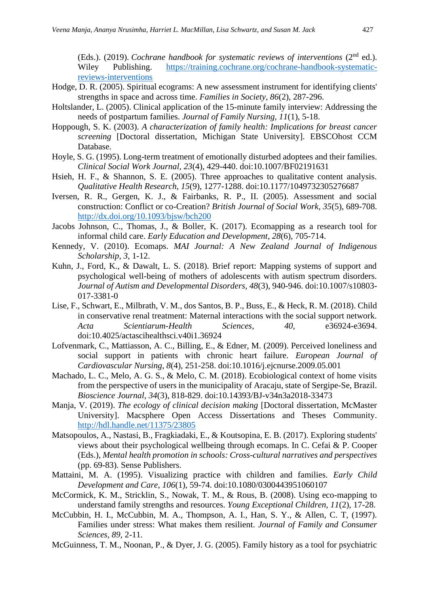(Eds.). (2019). *Cochrane handbook for systematic reviews of interventions* (2<sup>nd</sup> ed.). Wiley Publishing. [https://training.cochrane.org/cochrane-handbook-systematic](https://training.cochrane.org/cochrane-handbook-systematic-reviews-interventions)[reviews-interventions](https://training.cochrane.org/cochrane-handbook-systematic-reviews-interventions)

- Hodge, D. R. (2005). Spiritual ecograms: A new assessment instrument for identifying clients' strengths in space and across time. *Families in Society, 86*(2), 287-296.
- Holtslander, L. (2005). Clinical application of the 15-minute family interview: Addressing the needs of postpartum families. *Journal of Family Nursing, 11*(1), 5-18.
- Hoppough, S. K. (2003). *A characterization of family health: Implications for breast cancer screening* [Doctoral dissertation, Michigan State University]. EBSCOhost CCM Database.
- Hoyle, S. G. (1995). Long-term treatment of emotionally disturbed adoptees and their families. *Clinical Social Work Journal, 23*(4), 429-440. doi:10.1007/BF02191631
- Hsieh, H. F., & Shannon, S. E. (2005). Three approaches to qualitative content analysis. *Qualitative Health Research, 15*(9), 1277-1288. doi:10.1177/1049732305276687
- Iversen, R. R., Gergen, K. J., & Fairbanks, R. P., II. (2005). Assessment and social construction: Conflict or co-Creation? *British Journal of Social Work, 35*(5), 689-708. <http://dx.doi.org/10.1093/bjsw/bch200>
- Jacobs Johnson, C., Thomas, J., & Boller, K. (2017). Ecomapping as a research tool for informal child care. *Early Education and Development*, *28*(6), 705-714.
- Kennedy, V. (2010). Ecomaps. *MAI Journal: A New Zealand Journal of Indigenous Scholarship, 3*, 1-12.
- Kuhn, J., Ford, K., & Dawalt, L. S. (2018). Brief report: Mapping systems of support and psychological well-being of mothers of adolescents with autism spectrum disorders. *Journal of Autism and Developmental Disorders, 48*(3), 940-946. doi:10.1007/s10803- 017-3381-0
- Lise, F., Schwart, E., Milbrath, V. M., dos Santos, B. P., Buss, E., & Heck, R. M. (2018). Child in conservative renal treatment: Maternal interactions with the social support network. *Acta Scientiarum-Health Sciences, 40,* e36924-e3694. doi:10.4025/actascihealthsci.v40i1.36924
- Lofvenmark, C., Mattiasson, A. C., Billing, E., & Edner, M. (2009). Perceived loneliness and social support in patients with chronic heart failure. *European Journal of Cardiovascular Nursing, 8*(4), 251-258. doi:10.1016/j.ejcnurse.2009.05.001
- Machado, L. C., Melo, A. G. S., & Melo, C. M. (2018). Ecobiological context of home visits from the perspective of users in the municipality of Aracaju, state of Sergipe-Se, Brazil. *Bioscience Journal, 34*(3), 818-829. doi:10.14393/BJ-v34n3a2018-33473
- Manja, V. (2019). *The ecology of clinical decision making* [Doctoral dissertation, McMaster University]. Macsphere Open Access Dissertations and Theses Community. <http://hdl.handle.net/11375/23805>
- Matsopoulos, A., Nastasi, B., Fragkiadaki, E., & Koutsopina, E. B. (2017). Exploring students' views about their psychological wellbeing through ecomaps. In C. Cefai & P. Cooper (Eds.), *Mental health promotion in schools: Cross-cultural narratives and perspectives* (pp. 69-83)*.* Sense Publishers.
- Mattaini, M. A. (1995). Visualizing practice with children and families. *Early Child Development and Care, 106*(1), 59-74. doi:10.1080/0300443951060107
- McCormick, K. M., Stricklin, S., Nowak, T. M., & Rous, B. (2008). Using eco-mapping to understand family strengths and resources. *Young Exceptional Children, 11*(2), 17-28.
- McCubbin, H. I., McCubbin, M. A., Thompson, A. I., Han, S. Y., & Allen, C. T, (1997). Families under stress: What makes them resilient. *Journal of Family and Consumer Sciences, 89,* 2-11*.*
- McGuinness, T. M., Noonan, P., & Dyer, J. G. (2005). Family history as a tool for psychiatric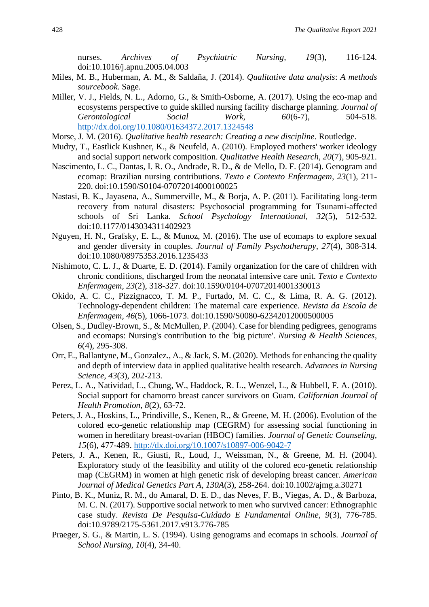nurses. *Archives of Psychiatric Nursing, 19*(3), 116-124. doi:10.1016/j.apnu.2005.04.003

- Miles, M. B., Huberman, A. M., & Saldaña, J. (2014). *Qualitative data analysis*: *A methods sourcebook*. Sage.
- Miller, V. J., Fields, N. L., Adorno, G., & Smith-Osborne, A. (2017). Using the eco-map and ecosystems perspective to guide skilled nursing facility discharge planning. *Journal of Gerontological Social Work, 60*(6-7), 504-518. <http://dx.doi.org/10.1080/01634372.2017.1324548>
- Morse, J. M. (2016). *Qualitative health research: Creating a new discipline*. Routledge.
- Mudry, T., Eastlick Kushner, K., & Neufeld, A. (2010). Employed mothers' worker ideology and social support network composition. *Qualitative Health Research, 20*(7), 905-921.
- Nascimento, L. C., Dantas, I. R. O., Andrade, R. D., & de Mello, D. F. (2014). Genogram and ecomap: Brazilian nursing contributions. *Texto e Contexto Enfermagem, 23*(1), 211- 220. doi:10.1590/S0104-07072014000100025
- Nastasi, B. K., Jayasena, A., Summerville, M., & Borja, A. P. (2011). Facilitating long-term recovery from natural disasters: Psychosocial programming for Tsunami-affected schools of Sri Lanka. *School Psychology International, 32*(5), 512-532. doi:10.1177/0143034311402923
- Nguyen, H. N., Grafsky, E. L., & Munoz, M. (2016). The use of ecomaps to explore sexual and gender diversity in couples. *Journal of Family Psychotherapy, 27*(4), 308-314. doi:10.1080/08975353.2016.1235433
- Nishimoto, C. L. J., & Duarte, E. D. (2014). Family organization for the care of children with chronic conditions, discharged from the neonatal intensive care unit. *Texto e Contexto Enfermagem, 23*(2), 318-327. doi:10.1590/0104-07072014001330013
- Okido, A. C. C., Pizzignacco, T. M. P., Furtado, M. C. C., & Lima, R. A. G. (2012). Technology-dependent children: The maternal care experience. *Revista da Escola de Enfermagem, 46*(5), 1066-1073. doi:10.1590/S0080-62342012000500005
- Olsen, S., Dudley-Brown, S., & McMullen, P. (2004). Case for blending pedigrees, genograms and ecomaps: Nursing's contribution to the 'big picture'. *Nursing & Health Sciences, 6*(4), 295-308.
- Orr, E., Ballantyne, M., Gonzalez., A., & Jack, S. M. (2020). Methods for enhancing the quality and depth of interview data in applied qualitative health research. *Advances in Nursing Science, 43*(3), 202-213.
- Perez, L. A., Natividad, L., Chung, W., Haddock, R. L., Wenzel, L., & Hubbell, F. A. (2010). Social support for chamorro breast cancer survivors on Guam. *Californian Journal of Health Promotion, 8*(2), 63-72.
- Peters, J. A., Hoskins, L., Prindiville, S., Kenen, R., & Greene, M. H. (2006). Evolution of the colored eco-genetic relationship map (CEGRM) for assessing social functioning in women in hereditary breast-ovarian (HBOC) families. *Journal of Genetic Counseling, 15*(6), 477-489.<http://dx.doi.org/10.1007/s10897-006-9042-7>
- Peters, J. A., Kenen, R., Giusti, R., Loud, J., Weissman, N., & Greene, M. H. (2004). Exploratory study of the feasibility and utility of the colored eco-genetic relationship map (CEGRM) in women at high genetic risk of developing breast cancer. *American Journal of Medical Genetics Part A, 130A*(3), 258-264. doi:10.1002/ajmg.a.30271
- Pinto, B. K., Muniz, R. M., do Amaral, D. E. D., das Neves, F. B., Viegas, A. D., & Barboza, M. C. N. (2017). Supportive social network to men who survived cancer: Ethnographic case study. *Revista De Pesquisa-Cuidado E Fundamental Online, 9*(3), 776-785. doi:10.9789/2175-5361.2017.v913.776-785
- Praeger, S. G., & Martin, L. S. (1994). Using genograms and ecomaps in schools. *Journal of School Nursing, 10*(4), 34-40.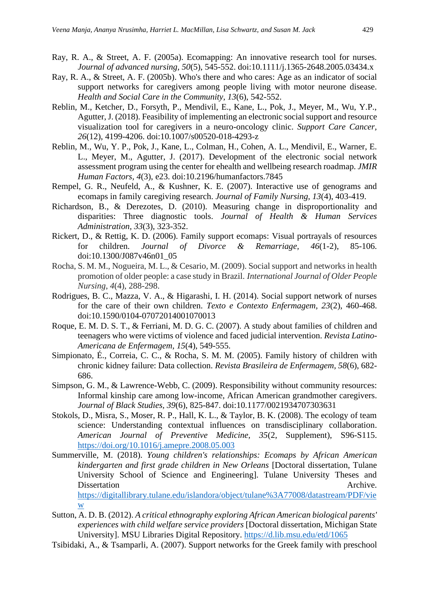- Ray, R. A., & Street, A. F. (2005a). Ecomapping: An innovative research tool for nurses. *Journal of advanced nursing, 50*(5), 545-552. doi:10.1111/j.1365-2648.2005.03434.x
- Ray, R. A., & Street, A. F. (2005b). Who's there and who cares: Age as an indicator of social support networks for caregivers among people living with motor neurone disease. *Health and Social Care in the Community, 13*(6), 542-552.
- Reblin, M., Ketcher, D., Forsyth, P., Mendivil, E., Kane, L., Pok, J., Meyer, M., Wu, Y.P., Agutter, J. (2018). Feasibility of implementing an electronic social support and resource visualization tool for caregivers in a neuro-oncology clinic. *Support Care Cancer, 26*(12), 4199-4206. doi:10.1007/s00520-018-4293-z
- Reblin, M., Wu, Y. P., Pok, J., Kane, L., Colman, H., Cohen, A. L., Mendivil, E., Warner, E. L., Meyer, M., Agutter, J. (2017). Development of the electronic social network assessment program using the center for ehealth and wellbeing research roadmap. *JMIR Human Factors, 4*(3), e23. doi:10.2196/humanfactors.7845
- Rempel, G. R., Neufeld, A., & Kushner, K. E. (2007). Interactive use of genograms and ecomaps in family caregiving research. *Journal of Family Nursing, 13*(4), 403-419.
- Richardson, B., & Derezotes, D. (2010). Measuring change in disproportionality and disparities: Three diagnostic tools. *Journal of Health & Human Services Administration, 33*(3), 323-352.
- Rickert, D., & Rettig, K. D. (2006). Family support ecomaps: Visual portrayals of resources for children. *Journal of Divorce & Remarriage, 46*(1-2), 85-106. doi:10.1300/J087v46n01\_05
- Rocha, S. M. M., Nogueira, M. L., & Cesario, M. (2009). Social support and networks in health promotion of older people: a case study in Brazil. *International Journal of Older People Nursing*, *4*(4), 288-298.
- Rodrigues, B. C., Mazza, V. A., & Higarashi, I. H. (2014). Social support network of nurses for the care of their own children. *Texto e Contexto Enfermagem, 23*(2), 460-468. doi:10.1590/0104-07072014001070013
- Roque, E. M. D. S. T., & Ferriani, M. D. G. C. (2007). A study about families of children and teenagers who were victims of violence and faced judicial intervention. *Revista Latino-Americana de Enfermagem, 15*(4), 549-555.
- Simpionato, É., Correia, C. C., & Rocha, S. M. M. (2005). Family history of children with chronic kidney failure: Data collection. *Revista Brasileira de Enfermagem, 58*(6), 682- 686.
- Simpson, G. M., & Lawrence-Webb, C. (2009). Responsibility without community resources: Informal kinship care among low-income, African American grandmother caregivers. *Journal of Black Studies, 39*(6), 825-847. doi:10.1177/0021934707303631
- Stokols, D., Misra, S., Moser, R. P., Hall, K. L., & Taylor, B. K. (2008). The ecology of team science: Understanding contextual influences on transdisciplinary collaboration. *American Journal of Preventive Medicine, 35*(2, Supplement), S96-S115. <https://doi.org/10.1016/j.amepre.2008.05.003>
- Summerville, M. (2018). *Young children's relationships: Ecomaps by African American kindergarten and first grade children in New Orleans* [Doctoral dissertation, Tulane University School of Science and Engineering]. Tulane University Theses and Dissertation **Archive.** Archive. [https://digitallibrary.tulane.edu/islandora/object/tulane%3A77008/datastream/PDF/vie](https://digitallibrary.tulane.edu/islandora/object/tulane%3A77008/datastream/PDF/view) [w](https://digitallibrary.tulane.edu/islandora/object/tulane%3A77008/datastream/PDF/view)
- Sutton, A. D. B. (2012). *A critical ethnography exploring African American biological parents' experiences with child welfare service providers* [Doctoral dissertation, Michigan State University]. MSU Libraries Digital Repository.<https://d.lib.msu.edu/etd/1065>
- Tsibidaki, A., & Tsamparli, A. (2007). Support networks for the Greek family with preschool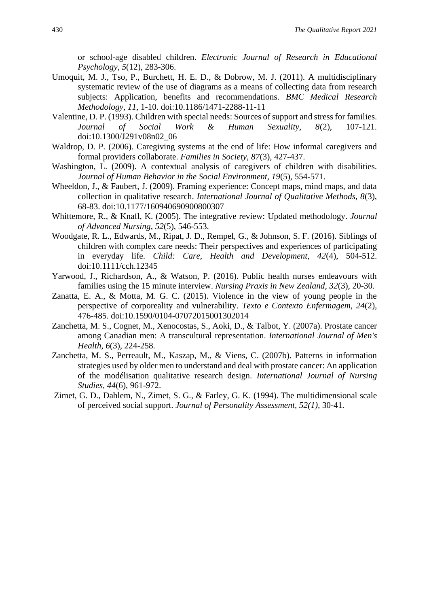or school-age disabled children. *Electronic Journal of Research in Educational Psychology, 5*(12), 283-306.

- Umoquit, M. J., Tso, P., Burchett, H. E. D., & Dobrow, M. J. (2011). A multidisciplinary systematic review of the use of diagrams as a means of collecting data from research subjects: Application, benefits and recommendations. *BMC Medical Research Methodology*, *11*, 1-10. doi:10.1186/1471-2288-11-11
- Valentine, D. P. (1993). Children with special needs: Sources of support and stress for families. *Journal of Social Work & Human Sexuality, 8*(2), 107-121. doi:10.1300/J291v08n02\_06
- Waldrop, D. P. (2006). Caregiving systems at the end of life: How informal caregivers and formal providers collaborate. *Families in Society, 87*(3), 427-437.
- Washington, L. (2009). A contextual analysis of caregivers of children with disabilities. *Journal of Human Behavior in the Social Environment, 19*(5), 554-571.
- Wheeldon, J., & Faubert, J. (2009). Framing experience: Concept maps, mind maps, and data collection in qualitative research. *International Journal of Qualitative Methods, 8*(3), 68-83. doi:10.1177/160940690900800307
- Whittemore, R., & Knafl, K. (2005). The integrative review: Updated methodology. *Journal of Advanced Nursing*, *52*(5), 546-553.
- Woodgate, R. L., Edwards, M., Ripat, J. D., Rempel, G., & Johnson, S. F. (2016). Siblings of children with complex care needs: Their perspectives and experiences of participating in everyday life. *Child: Care, Health and Development, 42*(4), 504-512. doi:10.1111/cch.12345
- Yarwood, J., Richardson, A., & Watson, P. (2016). Public health nurses endeavours with families using the 15 minute interview. *Nursing Praxis in New Zealand, 32*(3), 20-30.
- Zanatta, E. A., & Motta, M. G. C. (2015). Violence in the view of young people in the perspective of corporeality and vulnerability. *Texto e Contexto Enfermagem, 24*(2), 476-485. doi:10.1590/0104-07072015001302014
- Zanchetta, M. S., Cognet, M., Xenocostas, S., Aoki, D., & Talbot, Y. (2007a). Prostate cancer among Canadian men: A transcultural representation. *International Journal of Men's Health, 6*(3), 224-258.
- Zanchetta, M. S., Perreault, M., Kaszap, M., & Viens, C. (2007b). Patterns in information strategies used by older men to understand and deal with prostate cancer: An application of the modélisation qualitative research design. *International Journal of Nursing Studies, 44*(6), 961-972.
- Zimet, G. D., Dahlem, N., Zimet, S. G., & Farley, G. K. (1994). The multidimensional scale of perceived social support. *Journal of Personality Assessment, 52(1),* 30-41*.*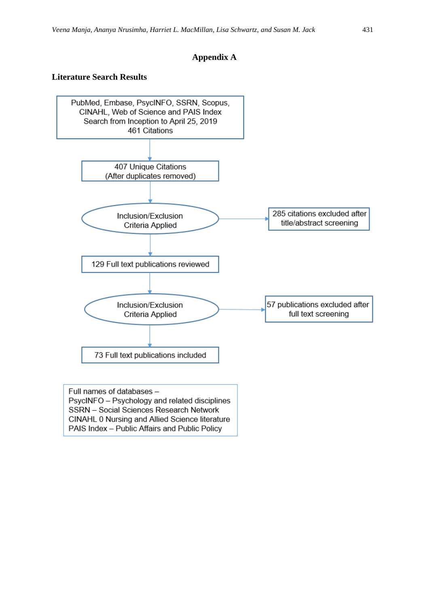### **Appendix A**

#### **Literature Search Results**



CINAHL 0 Nursing and Allied Science literature PAIS Index - Public Affairs and Public Policy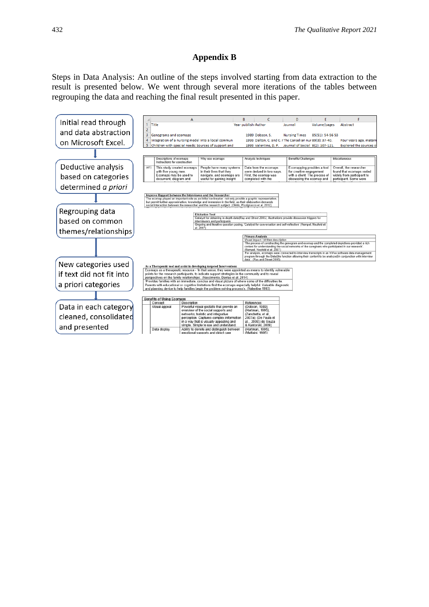## **Appendix B**

Steps in Data Analysis: An outline of the steps involved starting from data extraction to the result is presented below. We went through several more iterations of the tables between regrouping the data and reaching the final result presented in this paper.

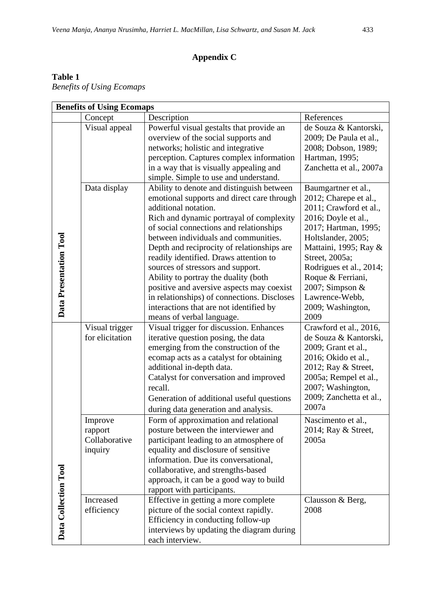# **Appendix C**

# **Table 1**

*Benefits of Using Ecomaps* 

|                        | <b>Benefits of Using Ecomaps</b>             |                                                                                                                                                                                                                                                                                                                                                                                                                                                                                                                                                                                         |                                                                                                                                                                                                                                                                                                            |  |  |
|------------------------|----------------------------------------------|-----------------------------------------------------------------------------------------------------------------------------------------------------------------------------------------------------------------------------------------------------------------------------------------------------------------------------------------------------------------------------------------------------------------------------------------------------------------------------------------------------------------------------------------------------------------------------------------|------------------------------------------------------------------------------------------------------------------------------------------------------------------------------------------------------------------------------------------------------------------------------------------------------------|--|--|
|                        | Concept                                      | Description                                                                                                                                                                                                                                                                                                                                                                                                                                                                                                                                                                             | References                                                                                                                                                                                                                                                                                                 |  |  |
|                        | Visual appeal                                | Powerful visual gestalts that provide an<br>overview of the social supports and<br>networks; holistic and integrative<br>perception. Captures complex information<br>in a way that is visually appealing and<br>simple. Simple to use and understand.                                                                                                                                                                                                                                                                                                                                   | de Souza & Kantorski,<br>2009; De Paula et al.,<br>2008; Dobson, 1989;<br>Hartman, 1995;<br>Zanchetta et al., 2007a                                                                                                                                                                                        |  |  |
| Data Presentation Tool | Data display                                 | Ability to denote and distinguish between<br>emotional supports and direct care through<br>additional notation.<br>Rich and dynamic portrayal of complexity<br>of social connections and relationships<br>between individuals and communities.<br>Depth and reciprocity of relationships are<br>readily identified. Draws attention to<br>sources of stressors and support.<br>Ability to portray the duality (both<br>positive and aversive aspects may coexist<br>in relationships) of connections. Discloses<br>interactions that are not identified by<br>means of verbal language. | Baumgartner et al.,<br>2012; Charepe et al.,<br>2011; Crawford et al.,<br>2016; Doyle et al.,<br>2017; Hartman, 1995;<br>Holtslander, 2005;<br>Mattaini, 1995; Ray &<br>Street, 2005a;<br>Rodrigues et al., 2014;<br>Roque & Ferriani,<br>2007; Simpson $&$<br>Lawrence-Webb,<br>2009; Washington,<br>2009 |  |  |
|                        | Visual trigger<br>for elicitation<br>Improve | Visual trigger for discussion. Enhances<br>iterative question posing, the data<br>emerging from the construction of the<br>ecomap acts as a catalyst for obtaining<br>additional in-depth data.<br>Catalyst for conversation and improved<br>recall.<br>Generation of additional useful questions<br>during data generation and analysis.<br>Form of approximation and relational                                                                                                                                                                                                       | Crawford et al., 2016,<br>de Souza & Kantorski,<br>2009; Grant et al.,<br>2016; Okido et al.,<br>2012; Ray & Street,<br>2005a; Rempel et al.,<br>2007; Washington,<br>2009; Zanchetta et al.,<br>2007a<br>Nascimento et al.,                                                                               |  |  |
|                        | rapport<br>Collaborative<br>inquiry          | posture between the interviewer and<br>participant leading to an atmosphere of<br>equality and disclosure of sensitive<br>information. Due its conversational,<br>collaborative, and strengths-based<br>approach, it can be a good way to build<br>rapport with participants.                                                                                                                                                                                                                                                                                                           | 2014; Ray & Street,<br>2005a                                                                                                                                                                                                                                                                               |  |  |
| Data Collection Tool   | Increased<br>efficiency                      | Effective in getting a more complete<br>picture of the social context rapidly.<br>Efficiency in conducting follow-up<br>interviews by updating the diagram during<br>each interview.                                                                                                                                                                                                                                                                                                                                                                                                    | Clausson & Berg,<br>2008                                                                                                                                                                                                                                                                                   |  |  |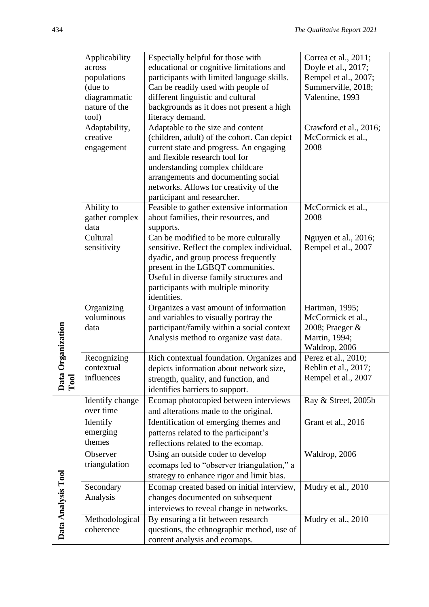|                    | Applicability   | Especially helpful for those with                                           | Correa et al., 2011;   |
|--------------------|-----------------|-----------------------------------------------------------------------------|------------------------|
|                    | across          | educational or cognitive limitations and                                    | Doyle et al., 2017;    |
|                    | populations     | participants with limited language skills.                                  | Rempel et al., 2007;   |
|                    | (due to         | Can be readily used with people of                                          | Summerville, 2018;     |
|                    | diagrammatic    | different linguistic and cultural                                           | Valentine, 1993        |
|                    | nature of the   | backgrounds as it does not present a high                                   |                        |
|                    | tool)           | literacy demand.                                                            |                        |
|                    | Adaptability,   | Adaptable to the size and content                                           | Crawford et al., 2016; |
|                    | creative        | (children, adult) of the cohort. Can depict                                 | McCormick et al.,      |
|                    | engagement      | current state and progress. An engaging                                     | 2008                   |
|                    |                 | and flexible research tool for                                              |                        |
|                    |                 | understanding complex childcare                                             |                        |
|                    |                 | arrangements and documenting social                                         |                        |
|                    |                 | networks. Allows for creativity of the                                      |                        |
|                    |                 | participant and researcher.                                                 |                        |
|                    | Ability to      | Feasible to gather extensive information                                    | McCormick et al.,      |
|                    | gather complex  | about families, their resources, and                                        | 2008                   |
|                    | data            | supports.                                                                   |                        |
|                    | Cultural        | Can be modified to be more culturally                                       | Nguyen et al., 2016;   |
|                    | sensitivity     | sensitive. Reflect the complex individual,                                  | Rempel et al., 2007    |
|                    |                 | dyadic, and group process frequently                                        |                        |
|                    |                 | present in the LGBQT communities.                                           |                        |
|                    |                 | Useful in diverse family structures and                                     |                        |
|                    |                 | participants with multiple minority                                         |                        |
|                    |                 | identities.                                                                 |                        |
|                    | Organizing      | Organizes a vast amount of information                                      | Hartman, 1995;         |
|                    | voluminous      | and variables to visually portray the                                       | McCormick et al.,      |
|                    | data            | participant/family within a social context                                  | 2008; Praeger &        |
|                    |                 | Analysis method to organize vast data.                                      | Martin, 1994;          |
| Organization       |                 |                                                                             | Waldrop, 2006          |
|                    | Recognizing     | Rich contextual foundation. Organizes and                                   | Perez et al., 2010;    |
|                    | contextual      | depicts information about network size,                                     | Reblin et al., 2017;   |
|                    | influences      | strength, quality, and function, and                                        | Rempel et al., 2007    |
| Data<br>Tool       |                 | identifies barriers to support.                                             |                        |
|                    | Identify change | Ecomap photocopied between interviews                                       | Ray & Street, 2005b    |
|                    | over time       | and alterations made to the original.                                       |                        |
|                    |                 |                                                                             |                        |
|                    | Identify        | Identification of emerging themes and                                       | Grant et al., 2016     |
|                    |                 |                                                                             |                        |
|                    | emerging        | patterns related to the participant's                                       |                        |
|                    | themes          | reflections related to the ecomap.                                          |                        |
|                    | Observer        | Using an outside coder to develop                                           | Waldrop, 2006          |
|                    | triangulation   | ecomaps led to "observer triangulation," a                                  |                        |
|                    |                 | strategy to enhance rigor and limit bias.                                   |                        |
|                    | Secondary       |                                                                             | Mudry et al., 2010     |
|                    | Analysis        | Ecomap created based on initial interview,                                  |                        |
|                    |                 | changes documented on subsequent                                            |                        |
|                    |                 | interviews to reveal change in networks.                                    |                        |
|                    | Methodological  | By ensuring a fit between research                                          | Mudry et al., 2010     |
| Data Analysis Tool | coherence       | questions, the ethnographic method, use of<br>content analysis and ecomaps. |                        |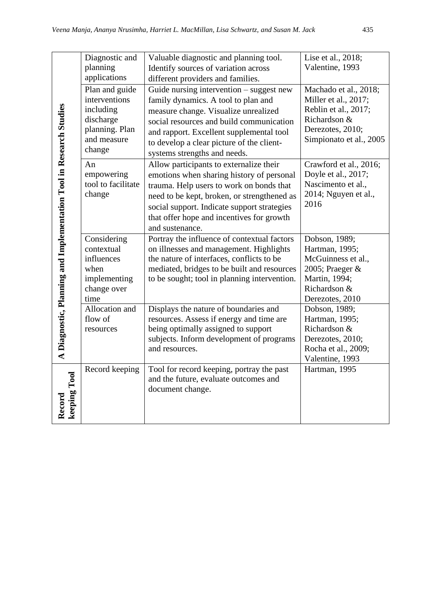|                                                                    | Diagnostic and     | Valuable diagnostic and planning tool.                    | Lise et al., 2018;      |
|--------------------------------------------------------------------|--------------------|-----------------------------------------------------------|-------------------------|
|                                                                    | planning           | Identify sources of variation across                      | Valentine, 1993         |
|                                                                    | applications       | different providers and families.                         |                         |
|                                                                    | Plan and guide     | Guide nursing intervention – suggest new                  | Machado et al., 2018;   |
|                                                                    | interventions      | family dynamics. A tool to plan and                       | Miller et al., 2017;    |
|                                                                    | including          | measure change. Visualize unrealized                      | Reblin et al., 2017;    |
|                                                                    | discharge          | social resources and build communication                  | Richardson &            |
|                                                                    | planning. Plan     | and rapport. Excellent supplemental tool                  | Derezotes, 2010;        |
|                                                                    | and measure        | to develop a clear picture of the client-                 | Simpionato et al., 2005 |
| A Diagnostic, Planning and Implementation Tool in Research Studies | change             | systems strengths and needs.                              |                         |
|                                                                    | An                 | Allow participants to externalize their                   | Crawford et al., 2016;  |
|                                                                    | empowering         | emotions when sharing history of personal                 | Doyle et al., 2017;     |
|                                                                    | tool to facilitate | trauma. Help users to work on bonds that                  | Nascimento et al.,      |
|                                                                    | change             | need to be kept, broken, or strengthened as               | 2014; Nguyen et al.,    |
|                                                                    |                    | social support. Indicate support strategies               | 2016                    |
|                                                                    |                    | that offer hope and incentives for growth                 |                         |
|                                                                    |                    | and sustenance.                                           |                         |
|                                                                    | Considering        | Portray the influence of contextual factors               | Dobson, 1989;           |
|                                                                    | contextual         | on illnesses and management. Highlights                   | Hartman, 1995;          |
|                                                                    | influences         | the nature of interfaces, conflicts to be                 | McGuinness et al.,      |
|                                                                    | when               | mediated, bridges to be built and resources               | 2005; Praeger &         |
|                                                                    | implementing       | to be sought; tool in planning intervention.              | Martin, 1994;           |
|                                                                    | change over        |                                                           | Richardson &            |
|                                                                    | time               |                                                           | Derezotes, 2010         |
|                                                                    | Allocation and     | Displays the nature of boundaries and                     | Dobson, 1989;           |
|                                                                    | flow of            | resources. Assess if energy and time are                  | Hartman, 1995;          |
|                                                                    | resources          | being optimally assigned to support                       | Richardson &            |
|                                                                    |                    | subjects. Inform development of programs                  | Derezotes, 2010;        |
|                                                                    |                    | and resources.                                            | Rocha et al., 2009;     |
|                                                                    |                    |                                                           | Valentine, 1993         |
|                                                                    | Record keeping     | Tool for record keeping, portray the past                 | Hartman, 1995           |
|                                                                    |                    | and the future, evaluate outcomes and<br>document change. |                         |
| keeping Tool                                                       |                    |                                                           |                         |
| Record                                                             |                    |                                                           |                         |
|                                                                    |                    |                                                           |                         |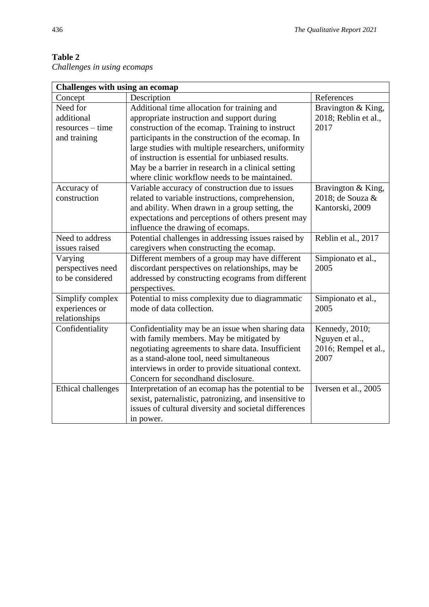| Challenges in using ecomaps |  |  |
|-----------------------------|--|--|
|                             |  |  |

| Challenges with using an ecomap |                                                        |                      |  |  |
|---------------------------------|--------------------------------------------------------|----------------------|--|--|
| Concept                         | Description                                            | References           |  |  |
| Need for                        | Additional time allocation for training and            | Bravington & King,   |  |  |
| additional                      | appropriate instruction and support during             | 2018; Reblin et al., |  |  |
| $resources - time$              | construction of the ecomap. Training to instruct       | 2017                 |  |  |
| and training                    | participants in the construction of the ecomap. In     |                      |  |  |
|                                 | large studies with multiple researchers, uniformity    |                      |  |  |
|                                 | of instruction is essential for unbiased results.      |                      |  |  |
|                                 | May be a barrier in research in a clinical setting     |                      |  |  |
|                                 | where clinic workflow needs to be maintained.          |                      |  |  |
| Accuracy of                     | Variable accuracy of construction due to issues        | Bravington & King,   |  |  |
| construction                    | related to variable instructions, comprehension,       | 2018; de Souza &     |  |  |
|                                 | and ability. When drawn in a group setting, the        | Kantorski, 2009      |  |  |
|                                 | expectations and perceptions of others present may     |                      |  |  |
|                                 | influence the drawing of ecomaps.                      |                      |  |  |
| Need to address                 | Potential challenges in addressing issues raised by    | Reblin et al., 2017  |  |  |
| issues raised                   | caregivers when constructing the ecomap.               |                      |  |  |
| Varying                         | Different members of a group may have different        | Simpionato et al.,   |  |  |
| perspectives need               | discordant perspectives on relationships, may be       | 2005                 |  |  |
| to be considered                | addressed by constructing ecograms from different      |                      |  |  |
|                                 | perspectives.                                          |                      |  |  |
| Simplify complex                | Potential to miss complexity due to diagrammatic       | Simpionato et al.,   |  |  |
| experiences or                  | mode of data collection.                               | 2005                 |  |  |
| relationships                   |                                                        |                      |  |  |
| Confidentiality                 | Confidentiality may be an issue when sharing data      | Kennedy, 2010;       |  |  |
|                                 | with family members. May be mitigated by               | Nguyen et al.,       |  |  |
|                                 | negotiating agreements to share data. Insufficient     | 2016; Rempel et al., |  |  |
|                                 | as a stand-alone tool, need simultaneous               | 2007                 |  |  |
|                                 | interviews in order to provide situational context.    |                      |  |  |
|                                 | Concern for secondhand disclosure.                     |                      |  |  |
| <b>Ethical challenges</b>       | Interpretation of an ecomap has the potential to be    | Iversen et al., 2005 |  |  |
|                                 | sexist, paternalistic, patronizing, and insensitive to |                      |  |  |
|                                 | issues of cultural diversity and societal differences  |                      |  |  |
|                                 | in power.                                              |                      |  |  |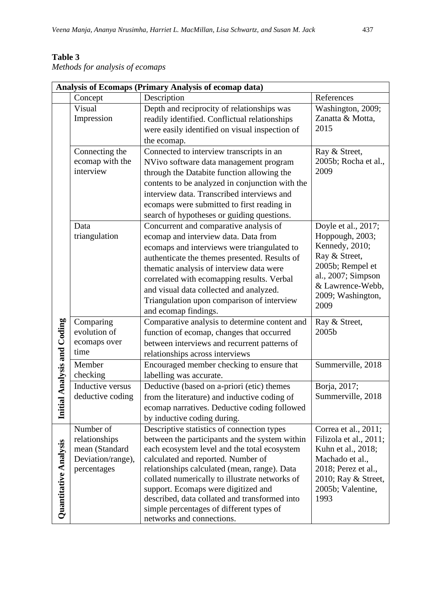# **Table 3**

*Methods for analysis of ecomaps*

| Analysis of Ecomaps (Primary Analysis of ecomap data) |                   |                                                                                                |                                        |  |
|-------------------------------------------------------|-------------------|------------------------------------------------------------------------------------------------|----------------------------------------|--|
|                                                       | Concept           | Description                                                                                    | References                             |  |
|                                                       | Visual            | Depth and reciprocity of relationships was                                                     | Washington, 2009;                      |  |
|                                                       | Impression        | readily identified. Conflictual relationships                                                  | Zanatta & Motta,                       |  |
|                                                       |                   | were easily identified on visual inspection of                                                 | 2015                                   |  |
|                                                       |                   | the ecomap.                                                                                    |                                        |  |
|                                                       | Connecting the    | Connected to interview transcripts in an                                                       | Ray & Street,                          |  |
|                                                       | ecomap with the   | NVivo software data management program                                                         | 2005b; Rocha et al.,                   |  |
|                                                       | interview         | through the Databite function allowing the                                                     | 2009                                   |  |
|                                                       |                   | contents to be analyzed in conjunction with the                                                |                                        |  |
|                                                       |                   | interview data. Transcribed interviews and                                                     |                                        |  |
|                                                       |                   | ecomaps were submitted to first reading in                                                     |                                        |  |
|                                                       |                   | search of hypotheses or guiding questions.                                                     |                                        |  |
|                                                       | Data              | Concurrent and comparative analysis of                                                         | Doyle et al., 2017;                    |  |
|                                                       | triangulation     | ecomap and interview data. Data from                                                           | Hoppough, 2003;                        |  |
|                                                       |                   | ecomaps and interviews were triangulated to                                                    | Kennedy, 2010;                         |  |
|                                                       |                   | authenticate the themes presented. Results of                                                  | Ray & Street,                          |  |
|                                                       |                   | thematic analysis of interview data were                                                       | 2005b; Rempel et                       |  |
|                                                       |                   | correlated with ecomapping results. Verbal                                                     | al., 2007; Simpson                     |  |
|                                                       |                   | and visual data collected and analyzed.                                                        | & Lawrence-Webb,                       |  |
|                                                       |                   | Triangulation upon comparison of interview                                                     | 2009; Washington,<br>2009              |  |
|                                                       |                   | and ecomap findings.                                                                           |                                        |  |
| tial Analysis and Coding                              | Comparing         | Comparative analysis to determine content and                                                  | Ray & Street,                          |  |
|                                                       | evolution of      | function of ecomap, changes that occurred                                                      | 2005b                                  |  |
|                                                       | ecomaps over      | between interviews and recurrent patterns of                                                   |                                        |  |
|                                                       | time              | relationships across interviews                                                                |                                        |  |
|                                                       | Member            | Encouraged member checking to ensure that                                                      | Summerville, 2018                      |  |
|                                                       | checking          | labelling was accurate.                                                                        |                                        |  |
|                                                       | Inductive versus  | Deductive (based on a-priori (etic) themes                                                     | Borja, 2017;                           |  |
|                                                       | deductive coding  | from the literature) and inductive coding of                                                   | Summerville, 2018                      |  |
| İni                                                   |                   | ecomap narratives. Deductive coding followed                                                   |                                        |  |
|                                                       |                   | by inductive coding during.                                                                    |                                        |  |
|                                                       | Number of         | Descriptive statistics of connection types                                                     | Correa et al., 2011;                   |  |
|                                                       | relationships     | between the participants and the system within                                                 | Filizola et al., 2011;                 |  |
|                                                       | mean (Standard    | each ecosystem level and the total ecosystem                                                   | Kuhn et al., 2018;                     |  |
|                                                       | Deviation/range), | calculated and reported. Number of                                                             | Machado et al.,<br>2018; Perez et al., |  |
|                                                       | percentages       | relationships calculated (mean, range). Data<br>collated numerically to illustrate networks of | 2010; Ray & Street,                    |  |
|                                                       |                   | support. Ecomaps were digitized and                                                            | 2005b; Valentine,                      |  |
| Quantitative Analysis                                 |                   | described, data collated and transformed into                                                  | 1993                                   |  |
|                                                       |                   | simple percentages of different types of                                                       |                                        |  |
|                                                       |                   | networks and connections.                                                                      |                                        |  |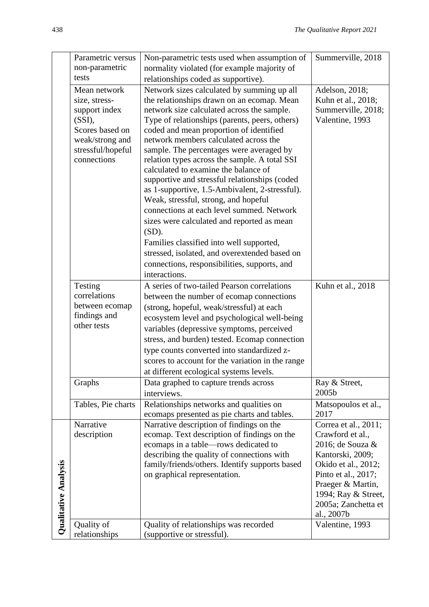|                      | Parametric versus  | Non-parametric tests used when assumption of     | Summerville, 2018             |
|----------------------|--------------------|--------------------------------------------------|-------------------------------|
|                      | non-parametric     | normality violated (for example majority of      |                               |
|                      | tests              | relationships coded as supportive).              |                               |
|                      | Mean network       | Network sizes calculated by summing up all       | Adelson, 2018;                |
|                      | size, stress-      | the relationships drawn on an ecomap. Mean       | Kuhn et al., 2018;            |
|                      | support index      | network size calculated across the sample.       | Summerville, 2018;            |
|                      | (SSI),             | Type of relationships (parents, peers, others)   | Valentine, 1993               |
|                      | Scores based on    | coded and mean proportion of identified          |                               |
|                      | weak/strong and    | network members calculated across the            |                               |
|                      | stressful/hopeful  | sample. The percentages were averaged by         |                               |
|                      | connections        | relation types across the sample. A total SSI    |                               |
|                      |                    | calculated to examine the balance of             |                               |
|                      |                    | supportive and stressful relationships (coded    |                               |
|                      |                    | as 1-supportive, 1.5-Ambivalent, 2-stressful).   |                               |
|                      |                    | Weak, stressful, strong, and hopeful             |                               |
|                      |                    | connections at each level summed. Network        |                               |
|                      |                    | sizes were calculated and reported as mean       |                               |
|                      |                    | $(SD)$ .                                         |                               |
|                      |                    | Families classified into well supported,         |                               |
|                      |                    | stressed, isolated, and overextended based on    |                               |
|                      |                    | connections, responsibilities, supports, and     |                               |
|                      |                    | interactions.                                    |                               |
|                      | Testing            | A series of two-tailed Pearson correlations      | Kuhn et al., 2018             |
|                      | correlations       | between the number of ecomap connections         |                               |
|                      | between ecomap     | (strong, hopeful, weak/stressful) at each        |                               |
|                      | findings and       | ecosystem level and psychological well-being     |                               |
|                      | other tests        | variables (depressive symptoms, perceived        |                               |
|                      |                    | stress, and burden) tested. Ecomap connection    |                               |
|                      |                    | type counts converted into standardized z-       |                               |
|                      |                    | scores to account for the variation in the range |                               |
|                      |                    | at different ecological systems levels.          |                               |
|                      | Graphs             | Data graphed to capture trends across            | Ray & Street,                 |
|                      |                    | interviews.                                      | 2005b                         |
|                      | Tables, Pie charts | Relationships networks and qualities on          | Matsopoulos et al.,           |
|                      |                    | ecomaps presented as pie charts and tables.      | 2017                          |
|                      | Narrative          | Narrative description of findings on the         | Correa et al., 2011;          |
|                      | description        | ecomap. Text description of findings on the      | Crawford et al.,              |
|                      |                    | ecomaps in a table-rows dedicated to             | 2016; de Souza &              |
|                      |                    | describing the quality of connections with       | Kantorski, 2009;              |
|                      |                    | family/friends/others. Identify supports based   | Okido et al., 2012;           |
|                      |                    | on graphical representation.                     | Pinto et al., 2017;           |
|                      |                    |                                                  | Praeger & Martin,             |
|                      |                    |                                                  | 1994; Ray & Street,           |
|                      |                    |                                                  | 2005a; Zanchetta et           |
| Qualitative Analysis | Quality of         | Quality of relationships was recorded            | al., 2007b<br>Valentine, 1993 |
|                      | relationships      | (supportive or stressful).                       |                               |
|                      |                    |                                                  |                               |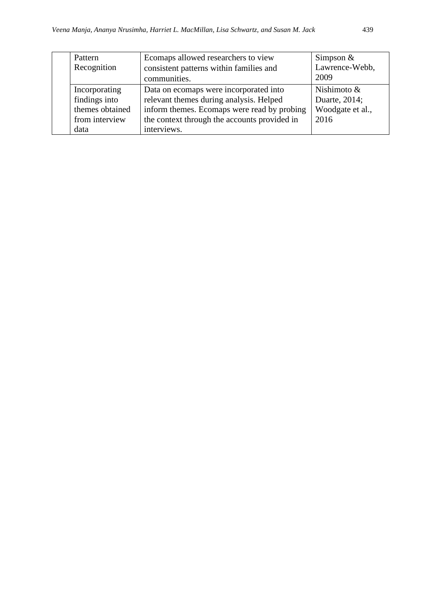| Pattern         | Ecomaps allowed researchers to view          | Simpson $&$      |
|-----------------|----------------------------------------------|------------------|
| Recognition     | consistent patterns within families and      | Lawrence-Webb,   |
|                 | communities.                                 | 2009             |
| Incorporating   | Data on ecomaps were incorporated into       | Nishimoto $\&$   |
| findings into   | relevant themes during analysis. Helped      | Duarte, 2014;    |
| themes obtained | inform themes. Ecomaps were read by probing  | Woodgate et al., |
| from interview  | the context through the accounts provided in | 2016             |
| data            | interviews.                                  |                  |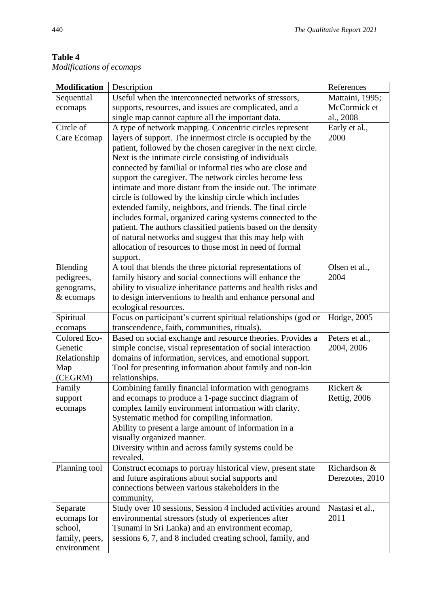| <b>Modification</b><br>Description                                                                                                            | References      |
|-----------------------------------------------------------------------------------------------------------------------------------------------|-----------------|
| Sequential<br>Useful when the interconnected networks of stressors,                                                                           | Mattaini, 1995; |
| supports, resources, and issues are complicated, and a<br>ecomaps                                                                             | McCormick et    |
| single map cannot capture all the important data.                                                                                             | al., 2008       |
| Circle of<br>A type of network mapping. Concentric circles represent                                                                          | Early et al.,   |
| layers of support. The innermost circle is occupied by the<br>Care Ecomap                                                                     | 2000            |
| patient, followed by the chosen caregiver in the next circle.                                                                                 |                 |
| Next is the intimate circle consisting of individuals                                                                                         |                 |
| connected by familial or informal ties who are close and                                                                                      |                 |
| support the caregiver. The network circles become less                                                                                        |                 |
| intimate and more distant from the inside out. The intimate                                                                                   |                 |
| circle is followed by the kinship circle which includes                                                                                       |                 |
| extended family, neighbors, and friends. The final circle                                                                                     |                 |
| includes formal, organized caring systems connected to the                                                                                    |                 |
| patient. The authors classified patients based on the density                                                                                 |                 |
| of natural networks and suggest that this may help with                                                                                       |                 |
| allocation of resources to those most in need of formal                                                                                       |                 |
| support.                                                                                                                                      | Olsen et al.,   |
| Blending<br>A tool that blends the three pictorial representations of<br>family history and social connections will enhance the<br>pedigrees, | 2004            |
| ability to visualize inheritance patterns and health risks and<br>genograms,                                                                  |                 |
| to design interventions to health and enhance personal and<br>& ecomaps                                                                       |                 |
| ecological resources.                                                                                                                         |                 |
| Focus on participant's current spiritual relationships (god or<br>Spiritual                                                                   | Hodge, 2005     |
| transcendence, faith, communities, rituals).<br>ecomaps                                                                                       |                 |
| Colored Eco-<br>Based on social exchange and resource theories. Provides a                                                                    | Peters et al.,  |
| simple concise, visual representation of social interaction<br>Genetic                                                                        | 2004, 2006      |
| domains of information, services, and emotional support.<br>Relationship                                                                      |                 |
| Tool for presenting information about family and non-kin<br>Map                                                                               |                 |
| (CEGRM)<br>relationships.                                                                                                                     |                 |
| Combining family financial information with genograms<br>Family                                                                               | Rickert &       |
| and ecomaps to produce a 1-page succinct diagram of<br>support                                                                                | Rettig, 2006    |
| complex family environment information with clarity.<br>ecomaps                                                                               |                 |
| Systematic method for compiling information.                                                                                                  |                 |
| Ability to present a large amount of information in a                                                                                         |                 |
| visually organized manner.                                                                                                                    |                 |
| Diversity within and across family systems could be                                                                                           |                 |
| revealed.                                                                                                                                     |                 |
| Construct ecomaps to portray historical view, present state<br>Planning tool                                                                  | Richardson &    |
| and future aspirations about social supports and                                                                                              | Derezotes, 2010 |
| connections between various stakeholders in the                                                                                               |                 |
| community,                                                                                                                                    |                 |
| Study over 10 sessions, Session 4 included activities around<br>Separate                                                                      | Nastasi et al., |
| environmental stressors (study of experiences after<br>ecomaps for                                                                            | 2011            |
| school,<br>Tsunami in Sri Lanka) and an environment ecomap,                                                                                   |                 |
| sessions 6, 7, and 8 included creating school, family, and<br>family, peers,<br>environment                                                   |                 |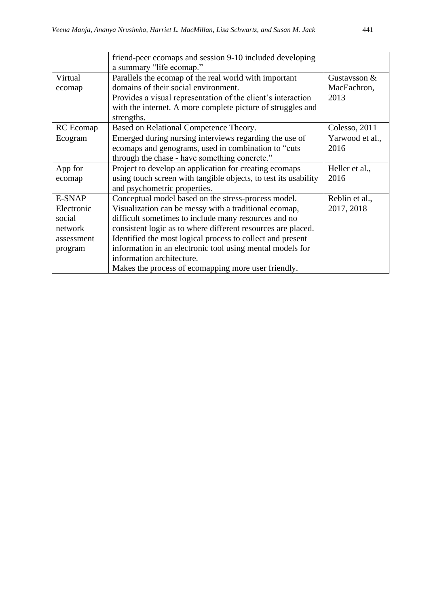|                                                                    | friend-peer ecomaps and session 9-10 included developing<br>a summary "life ecomap."                                                                                                                                                                                                                                                                                                                                                                |                               |
|--------------------------------------------------------------------|-----------------------------------------------------------------------------------------------------------------------------------------------------------------------------------------------------------------------------------------------------------------------------------------------------------------------------------------------------------------------------------------------------------------------------------------------------|-------------------------------|
| Virtual<br>ecomap                                                  | Parallels the ecomap of the real world with important<br>domains of their social environment.                                                                                                                                                                                                                                                                                                                                                       | Gustavsson $&$<br>MacEachron, |
|                                                                    | Provides a visual representation of the client's interaction<br>with the internet. A more complete picture of struggles and<br>strengths.                                                                                                                                                                                                                                                                                                           | 2013                          |
| RC Ecomap                                                          | Based on Relational Competence Theory.                                                                                                                                                                                                                                                                                                                                                                                                              | Colesso, 2011                 |
| Ecogram                                                            | Emerged during nursing interviews regarding the use of<br>ecomaps and genograms, used in combination to "cuts<br>through the chase - have something concrete."                                                                                                                                                                                                                                                                                      | Yarwood et al.,<br>2016       |
| App for<br>ecomap                                                  | Project to develop an application for creating ecomaps<br>using touch screen with tangible objects, to test its usability<br>and psychometric properties.                                                                                                                                                                                                                                                                                           | Heller et al.,<br>2016        |
| E-SNAP<br>Electronic<br>social<br>network<br>assessment<br>program | Conceptual model based on the stress-process model.<br>Visualization can be messy with a traditional ecomap,<br>difficult sometimes to include many resources and no<br>consistent logic as to where different resources are placed.<br>Identified the most logical process to collect and present<br>information in an electronic tool using mental models for<br>information architecture.<br>Makes the process of ecomapping more user friendly. | Reblin et al.,<br>2017, 2018  |